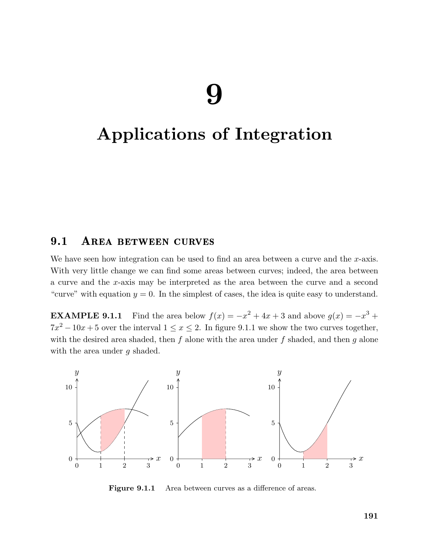# Applications of Integration

## 9.1 AREA BETWEEN CURVES

We have seen how integration can be used to find an area between a curve and the x-axis. With very little change we can find some areas between curves; indeed, the area between a curve and the x-axis may be interpreted as the area between the curve and a second "curve" with equation  $y = 0$ . In the simplest of cases, the idea is quite easy to understand.

**EXAMPLE 9.1.1** Find the area below  $f(x) = -x^2 + 4x + 3$  and above  $g(x) = -x^3 +$  $7x^2 - 10x + 5$  over the interval  $1 \le x \le 2$ . In figure 9.1.1 we show the two curves together, with the desired area shaded, then  $f$  alone with the area under  $f$  shaded, and then  $g$  alone with the area under g shaded.



Figure 9.1.1 Area between curves as a difference of areas.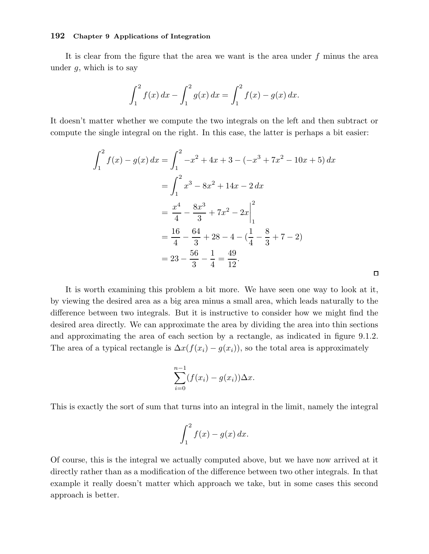It is clear from the figure that the area we want is the area under  $f$  minus the area under  $q$ , which is to say

$$
\int_{1}^{2} f(x) dx - \int_{1}^{2} g(x) dx = \int_{1}^{2} f(x) - g(x) dx.
$$

It doesn't matter whether we compute the two integrals on the left and then subtract or compute the single integral on the right. In this case, the latter is perhaps a bit easier:

$$
\int_{1}^{2} f(x) - g(x) dx = \int_{1}^{2} -x^{2} + 4x + 3 - (-x^{3} + 7x^{2} - 10x + 5) dx
$$
  
= 
$$
\int_{1}^{2} x^{3} - 8x^{2} + 14x - 2 dx
$$
  
= 
$$
\frac{x^{4}}{4} - \frac{8x^{3}}{3} + 7x^{2} - 2x \Big|_{1}^{2}
$$
  
= 
$$
\frac{16}{4} - \frac{64}{3} + 28 - 4 - (\frac{1}{4} - \frac{8}{3} + 7 - 2)
$$
  
= 
$$
23 - \frac{56}{3} - \frac{1}{4} = \frac{49}{12}.
$$

It is worth examining this problem a bit more. We have seen one way to look at it, by viewing the desired area as a big area minus a small area, which leads naturally to the difference between two integrals. But it is instructive to consider how we might find the desired area directly. We can approximate the area by dividing the area into thin sections and approximating the area of each section by a rectangle, as indicated in figure 9.1.2. The area of a typical rectangle is  $\Delta x(f(x_i) - g(x_i))$ , so the total area is approximately

 $\square$ 

$$
\sum_{i=0}^{n-1} (f(x_i) - g(x_i)) \Delta x.
$$

This is exactly the sort of sum that turns into an integral in the limit, namely the integral

$$
\int_1^2 f(x) - g(x) \, dx.
$$

Of course, this is the integral we actually computed above, but we have now arrived at it directly rather than as a modification of the difference between two other integrals. In that example it really doesn't matter which approach we take, but in some cases this second approach is better.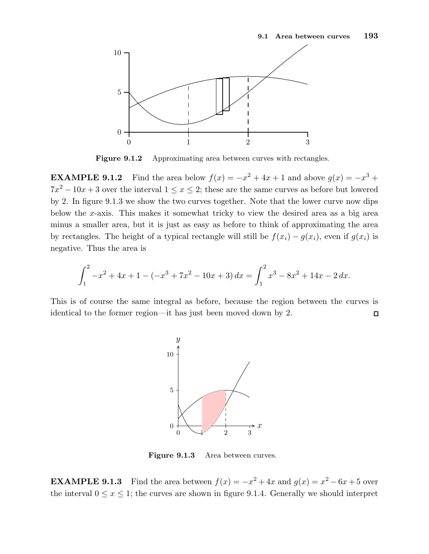

Figure 9.1.2 Approximating area between curves with rectangles.

**EXAMPLE 9.1.2** Find the area below  $f(x) = -x^2 + 4x + 1$  and above  $g(x) = -x^3 +$  $7x^2 - 10x + 3$  over the interval  $1 \le x \le 2$ ; these are the same curves as before but lowered by 2. In figure 9.1.3 we show the two curves together. Note that the lower curve now dips below the x-axis. This makes it somewhat tricky to view the desired area as a big area minus a smaller area, but it is just as easy as before to think of approximating the area by rectangles. The height of a typical rectangle will still be  $f(x_i) - g(x_i)$ , even if  $g(x_i)$  is negative. Thus the area is

$$
\int_{1}^{2} -x^{2} + 4x + 1 - (-x^{3} + 7x^{2} - 10x + 3) dx = \int_{1}^{2} x^{3} - 8x^{2} + 14x - 2 dx.
$$

This is of course the same integral as before, because the region between the curves is identical to the former region—it has just been moved down by 2.  $\Box$ 



Figure 9.1.3 Area between curves.

**EXAMPLE 9.1.3** Find the area between  $f(x) = -x^2 + 4x$  and  $g(x) = x^2 - 6x + 5$  over the interval  $0 \le x \le 1$ ; the curves are shown in figure 9.1.4. Generally we should interpret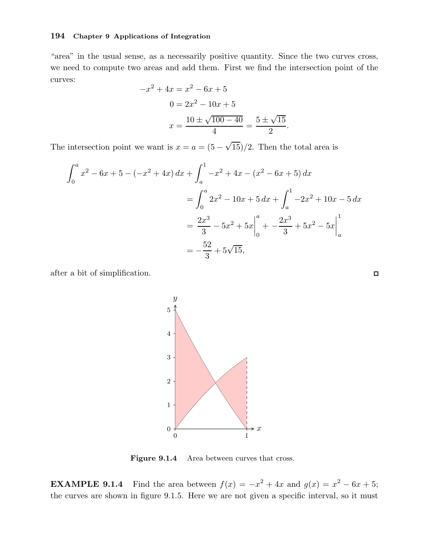"area" in the usual sense, as a necessarily positive quantity. Since the two curves cross, we need to compute two areas and add them. First we find the intersection point of the curves:

$$
-x^{2} + 4x = x^{2} - 6x + 5
$$

$$
0 = 2x^{2} - 10x + 5
$$

$$
x = \frac{10 \pm \sqrt{100 - 40}}{4} = \frac{5 \pm \sqrt{15}}{2}
$$

.

The intersection point we want is  $x = a = (5 - \sqrt{15})/2$ . Then the total area is

$$
\int_0^a x^2 - 6x + 5 - (-x^2 + 4x) dx + \int_a^1 -x^2 + 4x - (x^2 - 6x + 5) dx
$$
  
= 
$$
\int_0^a 2x^2 - 10x + 5 dx + \int_a^1 -2x^2 + 10x - 5 dx
$$
  
= 
$$
\frac{2x^3}{3} - 5x^2 + 5x \Big|_0^a + \left. -\frac{2x^3}{3} + 5x^2 - 5x \right|_a^1
$$
  
= 
$$
-\frac{52}{3} + 5\sqrt{15},
$$

after a bit of simplification.



Figure 9.1.4 Area between curves that cross.

**EXAMPLE 9.1.4** Find the area between  $f(x) = -x^2 + 4x$  and  $g(x) = x^2 - 6x + 5$ ; the curves are shown in figure 9.1.5. Here we are not given a specific interval, so it must

 $\Box$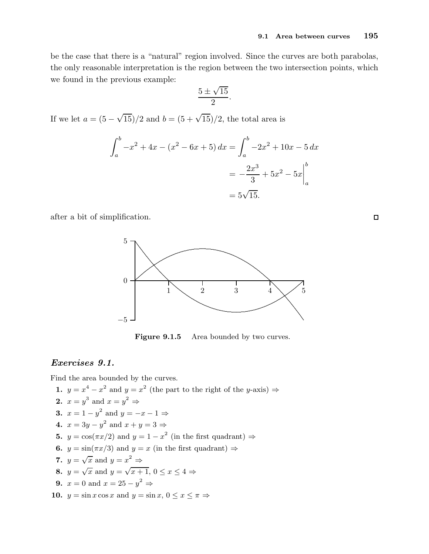be the case that there is a "natural" region involved. Since the curves are both parabolas, the only reasonable interpretation is the region between the two intersection points, which we found in the previous example:

$$
\frac{5 \pm \sqrt{15}}{2}.
$$

If we let  $a = (5 - \sqrt{15})/2$  and  $b = (5 + \sqrt{15})/2$ , the total area is

$$
\int_{a}^{b} -x^{2} + 4x - (x^{2} - 6x + 5) dx = \int_{a}^{b} -2x^{2} + 10x - 5 dx
$$

$$
= -\frac{2x^{3}}{3} + 5x^{2} - 5x \Big|_{a}^{b}
$$

$$
= 5\sqrt{15}.
$$

after a bit of simplification.



Figure 9.1.5 Area bounded by two curves.

## Exercises 9.1.

Find the area bounded by the curves.

1. 
$$
y = x^4 - x^2
$$
 and  $y = x^2$  (the part to the right of the y-axis)  $\Rightarrow$   
\n2.  $x = y^3$  and  $x = y^2 \Rightarrow$   
\n3.  $x = 1 - y^2$  and  $y = -x - 1 \Rightarrow$   
\n4.  $x = 3y - y^2$  and  $x + y = 3 \Rightarrow$   
\n5.  $y = \cos(\pi x/2)$  and  $y = 1 - x^2$  (in the first quadrant)  $\Rightarrow$   
\n6.  $y = \sin(\pi x/3)$  and  $y = x$  (in the first quadrant)  $\Rightarrow$   
\n7.  $y = \sqrt{x}$  and  $y = x^2 \Rightarrow$   
\n8.  $y = \sqrt{x}$  and  $y = x^2 \Rightarrow$   
\n9.  $x = 0$  and  $x = 25 - y^2 \Rightarrow$   
\n10.  $y = \sin x \cos x$  and  $y = \sin x$ ,  $0 \le x \le \pi \Rightarrow$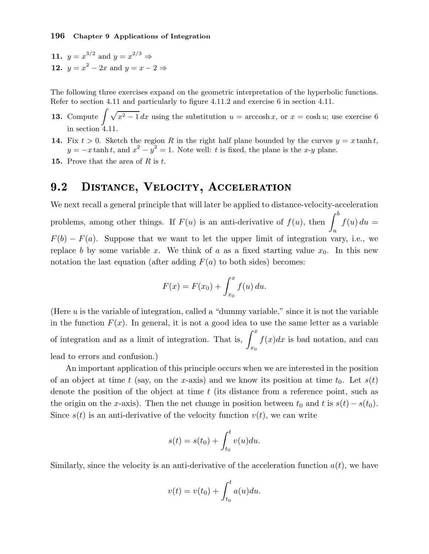11.  $y = x^{3/2}$  and  $y = x^{2/3} \Rightarrow$ 12.  $y = x^2 - 2x$  and  $y = x - 2 \Rightarrow$ 

The following three exercises expand on the geometric interpretation of the hyperbolic functions. Refer to section 4.11 and particularly to figure 4.11.2 and exercise 6 in section 4.11.

- **13.** Compute  $\int \sqrt{x^2 1} \, dx$  using the substitution  $u = \operatorname{arccosh} x$ , or  $x = \cosh u$ ; use exercise 6 in section 4.11.
- 14. Fix  $t > 0$ . Sketch the region R in the right half plane bounded by the curves  $y = x \tanh t$ ,  $y = -x \tanh t$ , and  $x^2 - y^2 = 1$ . Note well: t is fixed, the plane is the x-y plane.
- **15.** Prove that the area of  $R$  is  $t$ .

#### $9.2$ DISTANCE, VELOCITY, ACCELERATION

We next recall a general principle that will later be applied to distance-velocity-acceleration problems, among other things. If  $F(u)$  is an anti-derivative of  $f(u)$ , then  $\int^b$ a  $f(u) du =$  $F(b) - F(a)$ . Suppose that we want to let the upper limit of integration vary, i.e., we replace b by some variable x. We think of a as a fixed starting value  $x_0$ . In this new notation the last equation (after adding  $F(a)$  to both sides) becomes:

$$
F(x) = F(x_0) + \int_{x_0}^x f(u) \, du.
$$

(Here  $u$  is the variable of integration, called a "dummy variable," since it is not the variable in the function  $F(x)$ . In general, it is not a good idea to use the same letter as a variable of integration and as a limit of integration. That is,  $\int^x$  $x_0$  $f(x)dx$  is bad notation, and can lead to errors and confusion.)

An important application of this principle occurs when we are interested in the position of an object at time t (say, on the x-axis) and we know its position at time  $t_0$ . Let  $s(t)$ denote the position of the object at time  $t$  (its distance from a reference point, such as the origin on the x-axis). Then the net change in position between  $t_0$  and t is  $s(t) - s(t_0)$ . Since  $s(t)$  is an anti-derivative of the velocity function  $v(t)$ , we can write

$$
s(t) = s(t_0) + \int_{t_0}^t v(u) du.
$$

Similarly, since the velocity is an anti-derivative of the acceleration function  $a(t)$ , we have

$$
v(t) = v(t_0) + \int_{t_0}^t a(u) du.
$$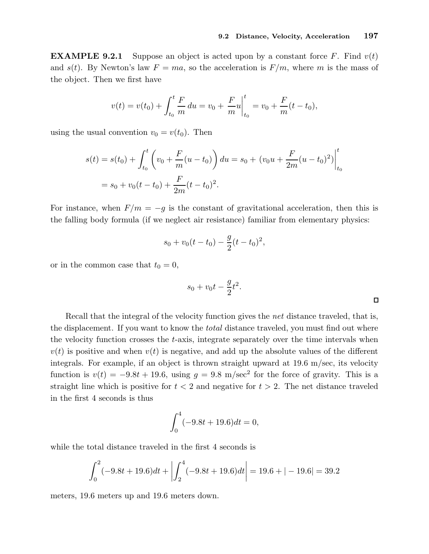$\Box$ 

**EXAMPLE 9.2.1** Suppose an object is acted upon by a constant force F. Find  $v(t)$ and  $s(t)$ . By Newton's law  $F = ma$ , so the acceleration is  $F/m$ , where m is the mass of the object. Then we first have

$$
v(t) = v(t_0) + \int_{t_0}^t \frac{F}{m} du = v_0 + \frac{F}{m} u \Big|_{t_0}^t = v_0 + \frac{F}{m} (t - t_0),
$$

using the usual convention  $v_0 = v(t_0)$ . Then

$$
s(t) = s(t_0) + \int_{t_0}^t \left( v_0 + \frac{F}{m}(u - t_0) \right) du = s_0 + (v_0 u + \frac{F}{2m}(u - t_0)^2) \Big|_{t_0}^t
$$
  
=  $s_0 + v_0(t - t_0) + \frac{F}{2m}(t - t_0)^2$ .

For instance, when  $F/m = -g$  is the constant of gravitational acceleration, then this is the falling body formula (if we neglect air resistance) familiar from elementary physics:

$$
s_0 + v_0(t - t_0) - \frac{g}{2}(t - t_0)^2,
$$

or in the common case that  $t_0 = 0$ ,

$$
s_0 + v_0 t - \frac{g}{2} t^2.
$$

Recall that the integral of the velocity function gives the net distance traveled, that is, the displacement. If you want to know the total distance traveled, you must find out where the velocity function crosses the t-axis, integrate separately over the time intervals when  $v(t)$  is positive and when  $v(t)$  is negative, and add up the absolute values of the different integrals. For example, if an object is thrown straight upward at 19.6 m/sec, its velocity function is  $v(t) = -9.8t + 19.6$ , using  $g = 9.8$  m/sec<sup>2</sup> for the force of gravity. This is a straight line which is positive for  $t < 2$  and negative for  $t > 2$ . The net distance traveled in the first 4 seconds is thus

$$
\int_0^4 (-9.8t + 19.6)dt = 0,
$$

while the total distance traveled in the first 4 seconds is

$$
\int_0^2 (-9.8t + 19.6)dt + \left| \int_2^4 (-9.8t + 19.6)dt \right| = 19.6 + |-19.6| = 39.2
$$

meters, 19.6 meters up and 19.6 meters down.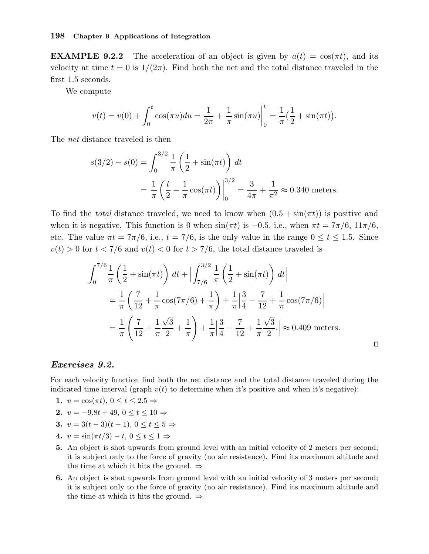**EXAMPLE 9.2.2** The acceleration of an object is given by  $a(t) = \cos(\pi t)$ , and its velocity at time  $t = 0$  is  $1/(2\pi)$ . Find both the net and the total distance traveled in the first 1.5 seconds.

We compute

$$
v(t) = v(0) + \int_0^t \cos(\pi u) du = \frac{1}{2\pi} + \frac{1}{\pi} \sin(\pi u) \Big|_0^t = \frac{1}{\pi} \left(\frac{1}{2} + \sin(\pi t)\right).
$$

The net distance traveled is then

$$
s(3/2) - s(0) = \int_0^{3/2} \frac{1}{\pi} \left(\frac{1}{2} + \sin(\pi t)\right) dt
$$
  
=  $\frac{1}{\pi} \left(\frac{t}{2} - \frac{1}{\pi} \cos(\pi t)\right) \Big|_0^{3/2} = \frac{3}{4\pi} + \frac{1}{\pi^2} \approx 0.340$  meters.

To find the *total* distance traveled, we need to know when  $(0.5 + \sin(\pi t))$  is positive and when it is negative. This function is 0 when  $sin(\pi t)$  is  $-0.5$ , i.e., when  $\pi t = 7\pi/6$ ,  $11\pi/6$ , etc. The value  $\pi t = 7\pi/6$ , i.e.,  $t = 7/6$ , is the only value in the range  $0 \le t \le 1.5$ . Since  $v(t) > 0$  for  $t < 7/6$  and  $v(t) < 0$  for  $t > 7/6$ , the total distance traveled is

$$
\int_0^{7/6} \frac{1}{\pi} \left( \frac{1}{2} + \sin(\pi t) \right) dt + \left| \int_{7/6}^{3/2} \frac{1}{\pi} \left( \frac{1}{2} + \sin(\pi t) \right) dt \right|
$$
  
=  $\frac{1}{\pi} \left( \frac{7}{12} + \frac{1}{\pi} \cos(7\pi/6) + \frac{1}{\pi} \right) + \frac{1}{\pi} \left| \frac{3}{4} - \frac{7}{12} + \frac{1}{\pi} \cos(7\pi/6) \right|$   
=  $\frac{1}{\pi} \left( \frac{7}{12} + \frac{1}{\pi} \frac{\sqrt{3}}{2} + \frac{1}{\pi} \right) + \frac{1}{\pi} \left| \frac{3}{4} - \frac{7}{12} + \frac{1}{\pi} \frac{\sqrt{3}}{2} \right| \approx 0.409$  meters.

#### Exercises 9.2.

For each velocity function find both the net distance and the total distance traveled during the indicated time interval (graph  $v(t)$  to determine when it's positive and when it's negative):

- 1.  $v = \cos(\pi t), 0 \le t \le 2.5 \Rightarrow$
- 2.  $v = -9.8t + 49, 0 \le t \le 10 \Rightarrow$
- 3.  $v = 3(t-3)(t-1), 0 < t < 5$  ⇒
- 4.  $v = \sin(\pi t/3) t$ ,  $0 \le t \le 1 \Rightarrow$
- 5. An object is shot upwards from ground level with an initial velocity of 2 meters per second; it is subject only to the force of gravity (no air resistance). Find its maximum altitude and the time at which it hits the ground.  $\Rightarrow$
- 6. An object is shot upwards from ground level with an initial velocity of 3 meters per second; it is subject only to the force of gravity (no air resistance). Find its maximum altitude and the time at which it hits the ground.  $\Rightarrow$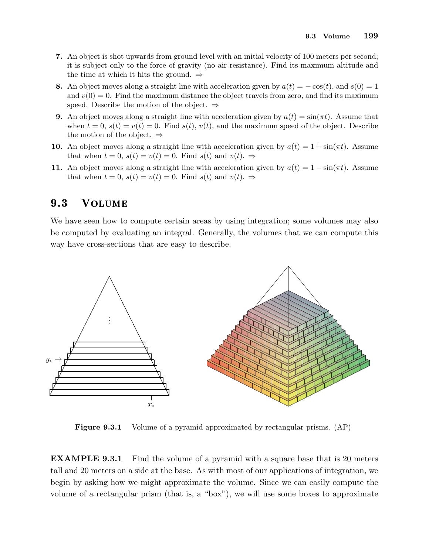- 7. An object is shot upwards from ground level with an initial velocity of 100 meters per second; it is subject only to the force of gravity (no air resistance). Find its maximum altitude and the time at which it hits the ground.  $\Rightarrow$
- 8. An object moves along a straight line with acceleration given by  $a(t) = -\cos(t)$ , and  $s(0) = 1$ and  $v(0) = 0$ . Find the maximum distance the object travels from zero, and find its maximum speed. Describe the motion of the object.  $\Rightarrow$
- **9.** An object moves along a straight line with acceleration given by  $a(t) = \sin(\pi t)$ . Assume that when  $t = 0$ ,  $s(t) = v(t) = 0$ . Find  $s(t)$ ,  $v(t)$ , and the maximum speed of the object. Describe the motion of the object.  $\Rightarrow$
- 10. An object moves along a straight line with acceleration given by  $a(t) = 1 + \sin(\pi t)$ . Assume that when  $t = 0$ ,  $s(t) = v(t) = 0$ . Find  $s(t)$  and  $v(t) \Rightarrow$
- 11. An object moves along a straight line with acceleration given by  $a(t) = 1 \sin(\pi t)$ . Assume that when  $t = 0$ ,  $s(t) = v(t) = 0$ . Find  $s(t)$  and  $v(t)$ .  $\Rightarrow$

#### **VOLUME**  $9.3$

We have seen how to compute certain areas by using integration; some volumes may also be computed by evaluating an integral. Generally, the volumes that we can compute this way have cross-sections that are easy to describe.



Figure 9.3.1 Volume of a pyramid approximated by rectangular prisms. (AP)

EXAMPLE 9.3.1 Find the volume of a pyramid with a square base that is 20 meters tall and 20 meters on a side at the base. As with most of our applications of integration, we begin by asking how we might approximate the volume. Since we can easily compute the volume of a rectangular prism (that is, a "box"), we will use some boxes to approximate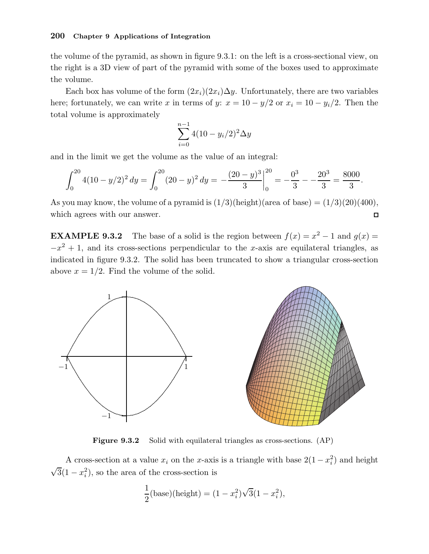the volume of the pyramid, as shown in figure 9.3.1: on the left is a cross-sectional view, on the right is a 3D view of part of the pyramid with some of the boxes used to approximate the volume.

Each box has volume of the form  $(2x_i)(2x_i)\Delta y$ . Unfortunately, there are two variables here; fortunately, we can write x in terms of y:  $x = 10 - y/2$  or  $x_i = 10 - y_i/2$ . Then the total volume is approximately

$$
\sum_{i=0}^{n-1} 4(10 - y_i/2)^2 \Delta y
$$

and in the limit we get the volume as the value of an integral:

$$
\int_0^{20} 4(10 - y/2)^2 dy = \int_0^{20} (20 - y)^2 dy = -\frac{(20 - y)^3}{3} \bigg|_0^{20} = -\frac{0^3}{3} - \frac{20^3}{3} = \frac{8000}{3}.
$$

As you may know, the volume of a pyramid is  $(1/3)(\text{height})(\text{area of base}) = (1/3)(20)(400)$ , which agrees with our answer.  $\Box$ 

**EXAMPLE 9.3.2** The base of a solid is the region between  $f(x) = x^2 - 1$  and  $g(x) =$  $-x^2 + 1$ , and its cross-sections perpendicular to the x-axis are equilateral triangles, as indicated in figure 9.3.2. The solid has been truncated to show a triangular cross-section above  $x = 1/2$ . Find the volume of the solid.



Figure 9.3.2 Solid with equilateral triangles as cross-sections. (AP)

A cross-section at a value  $x_i$  on the x-axis is a triangle with base  $2(1 - x_i^2)$  and height  $\sqrt{3}(1-x_i^2)$ , so the area of the cross-section is

$$
\frac{1}{2}(\text{base})(\text{height}) = (1 - x_i^2)\sqrt{3}(1 - x_i^2),
$$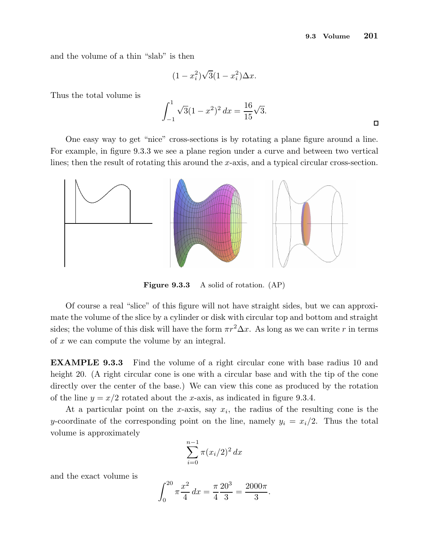and the volume of a thin "slab" is then

$$
(1-x_i^2)\sqrt{3}(1-x_i^2)\Delta x.
$$

Thus the total volume is

$$
\int_{-1}^{1} \sqrt{3}(1-x^2)^2 dx = \frac{16}{15}\sqrt{3}.
$$

One easy way to get "nice" cross-sections is by rotating a plane figure around a line. For example, in figure 9.3.3 we see a plane region under a curve and between two vertical lines; then the result of rotating this around the x-axis, and a typical circular cross-section.



Figure 9.3.3 A solid of rotation. (AP)

Of course a real "slice" of this figure will not have straight sides, but we can approximate the volume of the slice by a cylinder or disk with circular top and bottom and straight sides; the volume of this disk will have the form  $\pi r^2 \Delta x$ . As long as we can write r in terms of x we can compute the volume by an integral.

EXAMPLE 9.3.3 Find the volume of a right circular cone with base radius 10 and height 20. (A right circular cone is one with a circular base and with the tip of the cone directly over the center of the base.) We can view this cone as produced by the rotation of the line  $y = x/2$  rotated about the x-axis, as indicated in figure 9.3.4.

At a particular point on the x-axis, say  $x_i$ , the radius of the resulting cone is the y-coordinate of the corresponding point on the line, namely  $y_i = x_i/2$ . Thus the total volume is approximately

$$
\sum_{i=0}^{n-1} \pi (x_i/2)^2 \, dx
$$

and the exact volume is

$$
\int_0^{20} \pi \frac{x^2}{4} dx = \frac{\pi}{4} \frac{20^3}{3} = \frac{2000\pi}{3}.
$$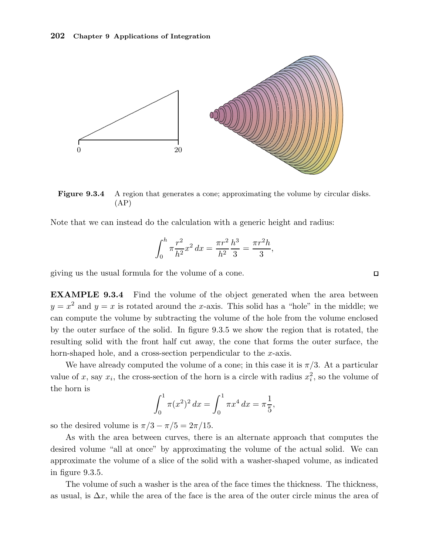

Figure 9.3.4 A region that generates a cone; approximating the volume by circular disks. (AP)

Note that we can instead do the calculation with a generic height and radius:

$$
\int_0^h \pi \frac{r^2}{h^2} x^2 dx = \frac{\pi r^2}{h^2} \frac{h^3}{3} = \frac{\pi r^2 h}{3},
$$

giving us the usual formula for the volume of a cone.

EXAMPLE 9.3.4 Find the volume of the object generated when the area between  $y = x^2$  and  $y = x$  is rotated around the x-axis. This solid has a "hole" in the middle; we can compute the volume by subtracting the volume of the hole from the volume enclosed by the outer surface of the solid. In figure 9.3.5 we show the region that is rotated, the resulting solid with the front half cut away, the cone that forms the outer surface, the horn-shaped hole, and a cross-section perpendicular to the x-axis.

We have already computed the volume of a cone; in this case it is  $\pi/3$ . At a particular value of x, say  $x_i$ , the cross-section of the horn is a circle with radius  $x_i^2$ , so the volume of the horn is

$$
\int_0^1 \pi(x^2)^2 dx = \int_0^1 \pi x^4 dx = \pi \frac{1}{5},
$$

so the desired volume is  $\pi/3 - \pi/5 = 2\pi/15$ .

As with the area between curves, there is an alternate approach that computes the desired volume "all at once" by approximating the volume of the actual solid. We can approximate the volume of a slice of the solid with a washer-shaped volume, as indicated in figure 9.3.5.

The volume of such a washer is the area of the face times the thickness. The thickness, as usual, is  $\Delta x$ , while the area of the face is the area of the outer circle minus the area of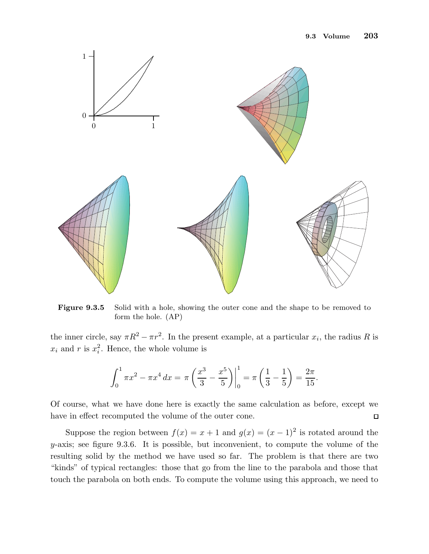

Figure 9.3.5 Solid with a hole, showing the outer cone and the shape to be removed to form the hole. (AP)

the inner circle, say  $\pi R^2 - \pi r^2$ . In the present example, at a particular  $x_i$ , the radius R is  $x_i$  and r is  $x_i^2$ . Hence, the whole volume is

$$
\int_0^1 \pi x^2 - \pi x^4 dx = \pi \left( \frac{x^3}{3} - \frac{x^5}{5} \right) \Big|_0^1 = \pi \left( \frac{1}{3} - \frac{1}{5} \right) = \frac{2\pi}{15}.
$$

Of course, what we have done here is exactly the same calculation as before, except we have in effect recomputed the volume of the outer cone.  $\Box$ 

Suppose the region between  $f(x) = x + 1$  and  $g(x) = (x - 1)^2$  is rotated around the  $y$ -axis; see figure 9.3.6. It is possible, but inconvenient, to compute the volume of the resulting solid by the method we have used so far. The problem is that there are two "kinds" of typical rectangles: those that go from the line to the parabola and those that touch the parabola on both ends. To compute the volume using this approach, we need to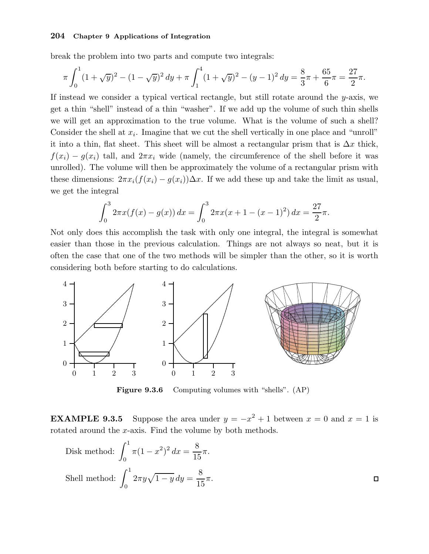break the problem into two parts and compute two integrals:

$$
\pi \int_0^1 (1+\sqrt{y})^2 - (1-\sqrt{y})^2 \, dy + \pi \int_1^4 (1+\sqrt{y})^2 - (y-1)^2 \, dy = \frac{8}{3}\pi + \frac{65}{6}\pi = \frac{27}{2}\pi.
$$

If instead we consider a typical vertical rectangle, but still rotate around the y-axis, we get a thin "shell" instead of a thin "washer". If we add up the volume of such thin shells we will get an approximation to the true volume. What is the volume of such a shell? Consider the shell at  $x_i$ . Imagine that we cut the shell vertically in one place and "unroll" it into a thin, flat sheet. This sheet will be almost a rectangular prism that is  $\Delta x$  thick,  $f(x_i) - g(x_i)$  tall, and  $2\pi x_i$  wide (namely, the circumference of the shell before it was unrolled). The volume will then be approximately the volume of a rectangular prism with these dimensions:  $2\pi x_i(f(x_i) - g(x_i))\Delta x$ . If we add these up and take the limit as usual, we get the integral

$$
\int_0^3 2\pi x (f(x) - g(x)) dx = \int_0^3 2\pi x (x + 1 - (x - 1)^2) dx = \frac{27}{2}\pi.
$$

Not only does this accomplish the task with only one integral, the integral is somewhat easier than those in the previous calculation. Things are not always so neat, but it is often the case that one of the two methods will be simpler than the other, so it is worth considering both before starting to do calculations.



Figure 9.3.6 Computing volumes with "shells". (AP)

**EXAMPLE 9.3.5** Suppose the area under  $y = -x^2 + 1$  between  $x = 0$  and  $x = 1$  is rotated around the x-axis. Find the volume by both methods.

Disk method: 
$$
\int_0^1 \pi (1 - x^2)^2 dx = \frac{8}{15} \pi.
$$
  
Shell method: 
$$
\int_0^1 2\pi y \sqrt{1 - y} dy = \frac{8}{15} \pi.
$$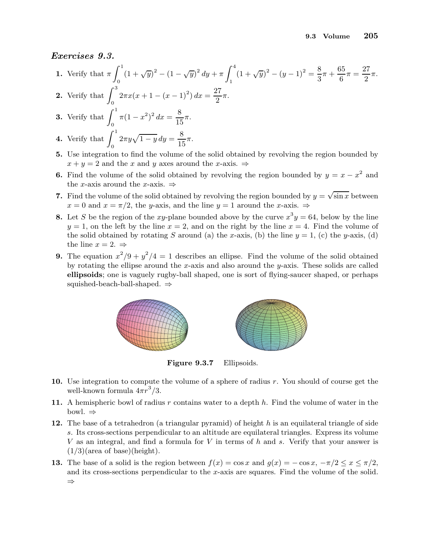## Exercises 9.3.

1. Verify that 
$$
\pi \int_0^1 (1 + \sqrt{y})^2 - (1 - \sqrt{y})^2 dy + \pi \int_1^4 (1 + \sqrt{y})^2 - (y - 1)^2 = \frac{8}{3}\pi + \frac{65}{6}\pi = \frac{27}{2}\pi
$$
.

2. Verify that  $\int_0^3$  $\int_0^3 2\pi x (x+1-(x-1)^2) dx = \frac{27}{2}$  $\frac{1}{2}\pi$ .

**3.** Verify that 
$$
\int_0^1 \pi (1 - x^2)^2 dx = \frac{8}{15} \pi.
$$

- 4. Verify that  $\int_1^1$ 0  $2\pi y\sqrt{1-y}\,dy=\frac{8}{1!}$  $\frac{6}{15}\pi$ .
- 5. Use integration to find the volume of the solid obtained by revolving the region bounded by  $x + y = 2$  and the x and y axes around the x-axis.  $\Rightarrow$
- **6.** Find the volume of the solid obtained by revolving the region bounded by  $y = x x^2$  and the x-axis around the x-axis.  $\Rightarrow$
- 7. Find the volume of the solid obtained by revolving the region bounded by  $y = \sqrt{\sin x}$  between  $x = 0$  and  $x = \pi/2$ , the y-axis, and the line  $y = 1$  around the x-axis.  $\Rightarrow$
- **8.** Let S be the region of the xy-plane bounded above by the curve  $x^3y = 64$ , below by the line  $y = 1$ , on the left by the line  $x = 2$ , and on the right by the line  $x = 4$ . Find the volume of the solid obtained by rotating S around (a) the x-axis, (b) the line  $y = 1$ , (c) the y-axis, (d) the line  $x = 2. \Rightarrow$
- **9.** The equation  $x^2/9 + y^2/4 = 1$  describes an ellipse. Find the volume of the solid obtained by rotating the ellipse around the x-axis and also around the y-axis. These solids are called ellipsoids; one is vaguely rugby-ball shaped, one is sort of flying-saucer shaped, or perhaps squished-beach-ball-shaped. ⇒



Figure 9.3.7 Ellipsoids.

- 10. Use integration to compute the volume of a sphere of radius  $r$ . You should of course get the well-known formula  $4\pi r^3/3$ .
- 11. A hemispheric bowl of radius r contains water to a depth  $h$ . Find the volume of water in the bowl. ⇒
- 12. The base of a tetrahedron (a triangular pyramid) of height  $h$  is an equilateral triangle of side s. Its cross-sections perpendicular to an altitude are equilateral triangles. Express its volume V as an integral, and find a formula for V in terms of h and s. Verify that your answer is  $(1/3)(area of base)(height).$
- **13.** The base of a solid is the region between  $f(x) = \cos x$  and  $g(x) = -\cos x$ ,  $-\pi/2 \le x \le \pi/2$ , and its cross-sections perpendicular to the x-axis are squares. Find the volume of the solid. ⇒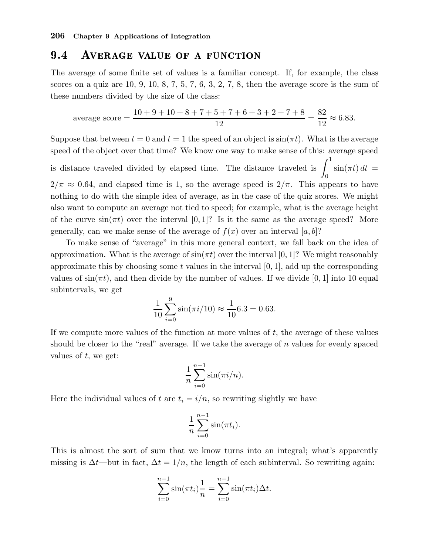#### $9.4$ AVERAGE VALUE OF A FUNCTION

The average of some finite set of values is a familiar concept. If, for example, the class scores on a quiz are 10, 9, 10, 8, 7, 5, 7, 6, 3, 2, 7, 8, then the average score is the sum of these numbers divided by the size of the class:

average score = 
$$
\frac{10 + 9 + 10 + 8 + 7 + 5 + 7 + 6 + 3 + 2 + 7 + 8}{12} = \frac{82}{12} \approx 6.83.
$$

Suppose that between  $t = 0$  and  $t = 1$  the speed of an object is  $\sin(\pi t)$ . What is the average speed of the object over that time? We know one way to make sense of this: average speed

is distance traveled divided by elapsed time. The distance traveled is  $\int_1^1$ 0  $\sin(\pi t) dt =$  $2/\pi \approx 0.64$ , and elapsed time is 1, so the average speed is  $2/\pi$ . This appears to have nothing to do with the simple idea of average, as in the case of the quiz scores. We might also want to compute an average not tied to speed; for example, what is the average height of the curve  $\sin(\pi t)$  over the interval [0, 1]? Is it the same as the average speed? More generally, can we make sense of the average of  $f(x)$  over an interval [a, b]?

To make sense of "average" in this more general context, we fall back on the idea of approximation. What is the average of  $\sin(\pi t)$  over the interval [0, 1]? We might reasonably approximate this by choosing some  $t$  values in the interval  $[0, 1]$ , add up the corresponding values of  $\sin(\pi t)$ , and then divide by the number of values. If we divide [0, 1] into 10 equal subintervals, we get

$$
\frac{1}{10} \sum_{i=0}^{9} \sin(\pi i/10) \approx \frac{1}{10} 6.3 = 0.63.
$$

If we compute more values of the function at more values of  $t$ , the average of these values should be closer to the "real" average. If we take the average of  $n$  values for evenly spaced values of  $t$ , we get:

$$
\frac{1}{n}\sum_{i=0}^{n-1}\sin(\pi i/n).
$$

Here the individual values of t are  $t_i = i/n$ , so rewriting slightly we have

$$
\frac{1}{n}\sum_{i=0}^{n-1}\sin(\pi t_i).
$$

This is almost the sort of sum that we know turns into an integral; what's apparently missing is  $\Delta t$ —but in fact,  $\Delta t = 1/n$ , the length of each subinterval. So rewriting again:

$$
\sum_{i=0}^{n-1} \sin(\pi t_i) \frac{1}{n} = \sum_{i=0}^{n-1} \sin(\pi t_i) \Delta t.
$$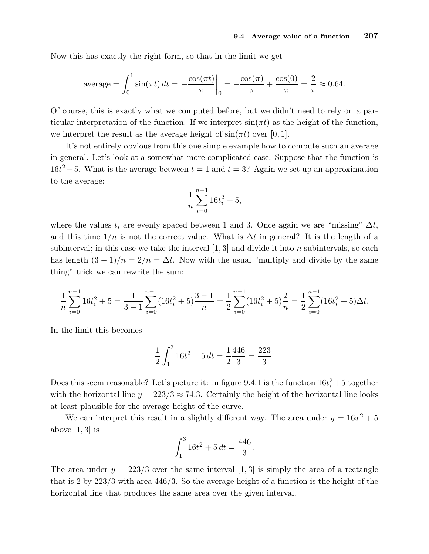Now this has exactly the right form, so that in the limit we get

$$
\text{average} = \int_0^1 \sin(\pi t) \, dt = -\frac{\cos(\pi t)}{\pi} \bigg|_0^1 = -\frac{\cos(\pi)}{\pi} + \frac{\cos(0)}{\pi} = \frac{2}{\pi} \approx 0.64.
$$

Of course, this is exactly what we computed before, but we didn't need to rely on a particular interpretation of the function. If we interpret  $sin(\pi t)$  as the height of the function, we interpret the result as the average height of  $sin(\pi t)$  over [0, 1].

It's not entirely obvious from this one simple example how to compute such an average in general. Let's look at a somewhat more complicated case. Suppose that the function is  $16t^2 + 5$ . What is the average between  $t = 1$  and  $t = 3$ ? Again we set up an approximation to the average:

$$
\frac{1}{n}\sum_{i=0}^{n-1} 16t_i^2 + 5,
$$

where the values  $t_i$  are evenly spaced between 1 and 3. Once again we are "missing"  $\Delta t$ , and this time  $1/n$  is not the correct value. What is  $\Delta t$  in general? It is the length of a subinterval; in this case we take the interval  $[1, 3]$  and divide it into n subintervals, so each has length  $(3-1)/n = 2/n = \Delta t$ . Now with the usual "multiply and divide by the same thing" trick we can rewrite the sum:

$$
\frac{1}{n}\sum_{i=0}^{n-1} 16t_i^2 + 5 = \frac{1}{3-1}\sum_{i=0}^{n-1} (16t_i^2 + 5) \frac{3-1}{n} = \frac{1}{2}\sum_{i=0}^{n-1} (16t_i^2 + 5) \frac{2}{n} = \frac{1}{2}\sum_{i=0}^{n-1} (16t_i^2 + 5)\Delta t.
$$

In the limit this becomes

$$
\frac{1}{2} \int_1^3 16t^2 + 5 dt = \frac{1}{2} \frac{446}{3} = \frac{223}{3}.
$$

Does this seem reasonable? Let's picture it: in figure 9.4.1 is the function  $16t_i^2 + 5$  together with the horizontal line  $y = 223/3 \approx 74.3$ . Certainly the height of the horizontal line looks at least plausible for the average height of the curve.

We can interpret this result in a slightly different way. The area under  $y = 16x^2 + 5$ above  $|1, 3|$  is

$$
\int_1^3 16t^2 + 5 dt = \frac{446}{3}.
$$

The area under  $y = 223/3$  over the same interval [1, 3] is simply the area of a rectangle that is 2 by 223/3 with area 446/3. So the average height of a function is the height of the horizontal line that produces the same area over the given interval.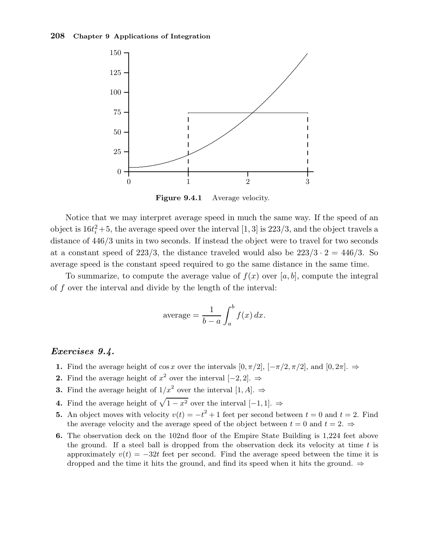

Figure 9.4.1 Average velocity.

Notice that we may interpret average speed in much the same way. If the speed of an object is  $16t_i^2 + 5$ , the average speed over the interval [1, 3] is 223/3, and the object travels a distance of  $446/3$  units in two seconds. If instead the object were to travel for two seconds at a constant speed of 223/3, the distance traveled would also be  $223/3 \cdot 2 = 446/3$ . So average speed is the constant speed required to go the same distance in the same time.

To summarize, to compute the average value of  $f(x)$  over [a, b], compute the integral of f over the interval and divide by the length of the interval:

$$
\text{average} = \frac{1}{b-a} \int_{a}^{b} f(x) \, dx.
$$

## Exercises 9.4.

- 1. Find the average height of cos x over the intervals  $[0, \pi/2]$ ,  $[-\pi/2, \pi/2]$ , and  $[0, 2\pi]$ .  $\Rightarrow$
- 2. Find the average height of  $x^2$  over the interval [-2, 2]. ⇒
- **3.** Find the average height of  $1/x^2$  over the interval  $[1, A]$ .  $\Rightarrow$
- 4. Find the average height of  $\sqrt{1 x^2}$  over the interval [-1, 1]. ⇒
- **5.** An object moves with velocity  $v(t) = -t^2 + 1$  feet per second between  $t = 0$  and  $t = 2$ . Find the average velocity and the average speed of the object between  $t = 0$  and  $t = 2$ .  $\Rightarrow$
- 6. The observation deck on the 102nd floor of the Empire State Building is 1,224 feet above the ground. If a steel ball is dropped from the observation deck its velocity at time  $t$  is approximately  $v(t) = -32t$  feet per second. Find the average speed between the time it is dropped and the time it hits the ground, and find its speed when it hits the ground.  $\Rightarrow$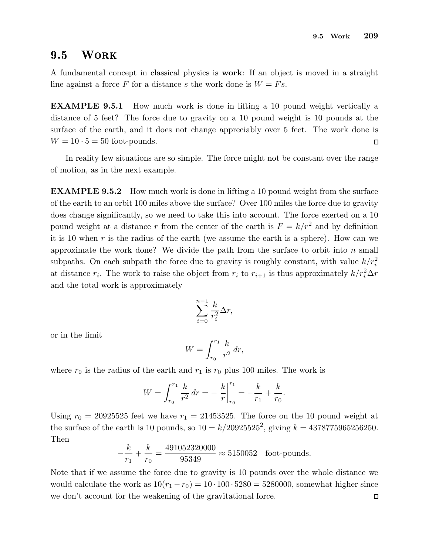#### **WORK**  $9.5$

A fundamental concept in classical physics is work: If an object is moved in a straight line against a force F for a distance s the work done is  $W = Fs$ .

EXAMPLE 9.5.1 How much work is done in lifting a 10 pound weight vertically a distance of 5 feet? The force due to gravity on a 10 pound weight is 10 pounds at the surface of the earth, and it does not change appreciably over 5 feet. The work done is  $W = 10 \cdot 5 = 50$  foot-pounds.  $\Box$ 

In reality few situations are so simple. The force might not be constant over the range of motion, as in the next example.

EXAMPLE 9.5.2 How much work is done in lifting a 10 pound weight from the surface of the earth to an orbit 100 miles above the surface? Over 100 miles the force due to gravity does change significantly, so we need to take this into account. The force exerted on a 10 pound weight at a distance r from the center of the earth is  $F = k/r^2$  and by definition it is 10 when  $r$  is the radius of the earth (we assume the earth is a sphere). How can we approximate the work done? We divide the path from the surface to orbit into  $n$  small subpaths. On each subpath the force due to gravity is roughly constant, with value  $k/r_i^2$ at distance  $r_i$ . The work to raise the object from  $r_i$  to  $r_{i+1}$  is thus approximately  $k/r_i^2 \Delta r$ and the total work is approximately

$$
\sum_{i=0}^{n-1} \frac{k}{r_i^2} \Delta r,
$$

or in the limit

$$
W = \int_{r_0}^{r_1} \frac{k}{r^2} dr,
$$

where  $r_0$  is the radius of the earth and  $r_1$  is  $r_0$  plus 100 miles. The work is

$$
W = \int_{r_0}^{r_1} \frac{k}{r^2} dr = -\left. \frac{k}{r} \right|_{r_0}^{r_1} = -\frac{k}{r_1} + \frac{k}{r_0}.
$$

Using  $r_0 = 20925525$  feet we have  $r_1 = 21453525$ . The force on the 10 pound weight at the surface of the earth is 10 pounds, so  $10 = k/20925525^2$ , giving  $k = 4378775965256250$ . Then

$$
-\frac{k}{r_1} + \frac{k}{r_0} = \frac{491052320000}{95349} \approx 5150052
$$
 foot-pounds.

Note that if we assume the force due to gravity is 10 pounds over the whole distance we would calculate the work as  $10(r_1 - r_0) = 10 \cdot 100 \cdot 5280 = 5280000$ , somewhat higher since we don't account for the weakening of the gravitational force. $\Box$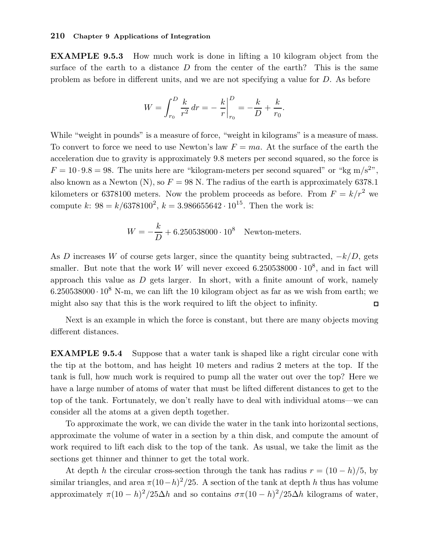EXAMPLE 9.5.3 How much work is done in lifting a 10 kilogram object from the surface of the earth to a distance  $D$  from the center of the earth? This is the same problem as before in different units, and we are not specifying a value for D. As before

$$
W = \int_{r_0}^{D} \frac{k}{r^2} dr = -\frac{k}{r} \Big|_{r_0}^{D} = -\frac{k}{D} + \frac{k}{r_0}.
$$

While "weight in pounds" is a measure of force, "weight in kilograms" is a measure of mass. To convert to force we need to use Newton's law  $F = ma$ . At the surface of the earth the acceleration due to gravity is approximately 9.8 meters per second squared, so the force is  $F = 10 \cdot 9.8 = 98$ . The units here are "kilogram-meters per second squared" or "kg m/s<sup>2</sup>", also known as a Newton (N), so  $F = 98$  N. The radius of the earth is approximately 6378.1 kilometers or 6378100 meters. Now the problem proceeds as before. From  $F = k/r^2$  we compute k:  $98 = k/6378100^2$ ,  $k = 3.986655642 \cdot 10^{15}$ . Then the work is:

$$
W = -\frac{k}{D} + 6.250538000 \cdot 10^8
$$
 Newton-meters.

As D increases W of course gets larger, since the quantity being subtracted,  $-k/D$ , gets smaller. But note that the work W will never exceed  $6.250538000 \cdot 10^8$ , and in fact will approach this value as  $D$  gets larger. In short, with a finite amount of work, namely  $6.250538000 \cdot 10^8$  N-m, we can lift the 10 kilogram object as far as we wish from earth; we might also say that this is the work required to lift the object to infinity.  $\Box$ 

Next is an example in which the force is constant, but there are many objects moving different distances.

EXAMPLE 9.5.4 Suppose that a water tank is shaped like a right circular cone with the tip at the bottom, and has height 10 meters and radius 2 meters at the top. If the tank is full, how much work is required to pump all the water out over the top? Here we have a large number of atoms of water that must be lifted different distances to get to the top of the tank. Fortunately, we don't really have to deal with individual atoms—we can consider all the atoms at a given depth together.

To approximate the work, we can divide the water in the tank into horizontal sections, approximate the volume of water in a section by a thin disk, and compute the amount of work required to lift each disk to the top of the tank. As usual, we take the limit as the sections get thinner and thinner to get the total work.

At depth h the circular cross-section through the tank has radius  $r = (10 - h)/5$ , by similar triangles, and area  $\pi (10-h)^2/25$ . A section of the tank at depth h thus has volume approximately  $\pi (10 - h)^2 / 25 \Delta h$  and so contains  $\sigma \pi (10 - h)^2 / 25 \Delta h$  kilograms of water,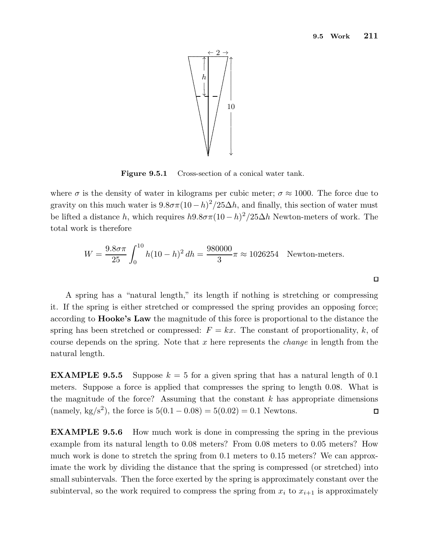$\Box$ 



Figure 9.5.1 Cross-section of a conical water tank.

where  $\sigma$  is the density of water in kilograms per cubic meter;  $\sigma \approx 1000$ . The force due to gravity on this much water is  $9.8\sigma\pi(10-h)^2/25\Delta h$ , and finally, this section of water must be lifted a distance h, which requires  $h9.8\sigma\pi(10-h)^2/25\Delta h$  Newton-meters of work. The total work is therefore

$$
W = \frac{9.8\sigma\pi}{25} \int_0^{10} h(10 - h)^2 dh = \frac{980000}{3} \pi \approx 1026254
$$
 Newton-meters.

A spring has a "natural length," its length if nothing is stretching or compressing it. If the spring is either stretched or compressed the spring provides an opposing force; according to Hooke's Law the magnitude of this force is proportional to the distance the spring has been stretched or compressed:  $F = kx$ . The constant of proportionality, k, of course depends on the spring. Note that x here represents the *change* in length from the natural length.

**EXAMPLE 9.5.5** Suppose  $k = 5$  for a given spring that has a natural length of 0.1 meters. Suppose a force is applied that compresses the spring to length 0.08. What is the magnitude of the force? Assuming that the constant  $k$  has appropriate dimensions (namely, kg/s<sup>2</sup>), the force is  $5(0.1 - 0.08) = 5(0.02) = 0.1$  Newtons.  $\Box$ 

EXAMPLE 9.5.6 How much work is done in compressing the spring in the previous example from its natural length to 0.08 meters? From 0.08 meters to 0.05 meters? How much work is done to stretch the spring from 0.1 meters to 0.15 meters? We can approximate the work by dividing the distance that the spring is compressed (or stretched) into small subintervals. Then the force exerted by the spring is approximately constant over the subinterval, so the work required to compress the spring from  $x_i$  to  $x_{i+1}$  is approximately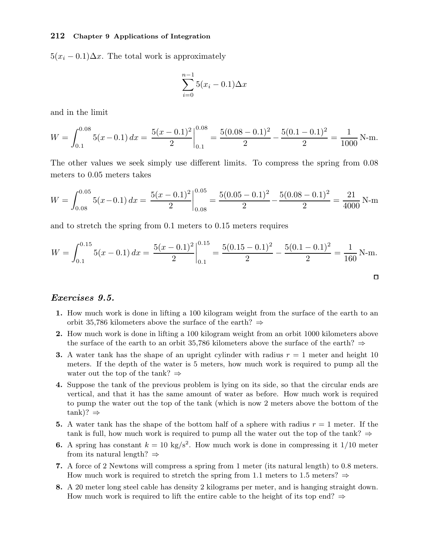$5(x_i - 0.1)\Delta x$ . The total work is approximately

$$
\sum_{i=0}^{n-1} 5(x_i - 0.1)\Delta x
$$

and in the limit

$$
W = \int_{0.1}^{0.08} 5(x - 0.1) dx = \left. \frac{5(x - 0.1)^2}{2} \right|_{0.1}^{0.08} = \frac{5(0.08 - 0.1)^2}{2} - \frac{5(0.1 - 0.1)^2}{2} = \frac{1}{1000} \text{ N-m}.
$$

The other values we seek simply use different limits. To compress the spring from 0.08 meters to 0.05 meters takes

$$
W = \int_{0.08}^{0.05} 5(x - 0.1) dx = \frac{5(x - 0.1)^2}{2} \Big|_{0.08}^{0.05} = \frac{5(0.05 - 0.1)^2}{2} - \frac{5(0.08 - 0.1)^2}{2} = \frac{21}{4000} \text{ N-m}
$$

and to stretch the spring from 0.1 meters to 0.15 meters requires

$$
W = \int_{0.1}^{0.15} 5(x - 0.1) dx = \frac{5(x - 0.1)^2}{2} \Big|_{0.1}^{0.15} = \frac{5(0.15 - 0.1)^2}{2} - \frac{5(0.1 - 0.1)^2}{2} = \frac{1}{160} \text{ N-m}.
$$

## Exercises 9.5.

- 1. How much work is done in lifting a 100 kilogram weight from the surface of the earth to an orbit 35,786 kilometers above the surface of the earth?  $\Rightarrow$
- 2. How much work is done in lifting a 100 kilogram weight from an orbit 1000 kilometers above the surface of the earth to an orbit 35,786 kilometers above the surface of the earth?  $\Rightarrow$
- 3. A water tank has the shape of an upright cylinder with radius  $r = 1$  meter and height 10 meters. If the depth of the water is 5 meters, how much work is required to pump all the water out the top of the tank?  $\Rightarrow$
- 4. Suppose the tank of the previous problem is lying on its side, so that the circular ends are vertical, and that it has the same amount of water as before. How much work is required to pump the water out the top of the tank (which is now 2 meters above the bottom of the  $tank$ )?  $\Rightarrow$
- 5. A water tank has the shape of the bottom half of a sphere with radius  $r = 1$  meter. If the tank is full, how much work is required to pump all the water out the top of the tank?  $\Rightarrow$
- **6.** A spring has constant  $k = 10 \text{ kg/s}^2$ . How much work is done in compressing it 1/10 meter from its natural length?  $\Rightarrow$
- 7. A force of 2 Newtons will compress a spring from 1 meter (its natural length) to 0.8 meters. How much work is required to stretch the spring from 1.1 meters to 1.5 meters?  $\Rightarrow$
- 8. A 20 meter long steel cable has density 2 kilograms per meter, and is hanging straight down. How much work is required to lift the entire cable to the height of its top end?  $\Rightarrow$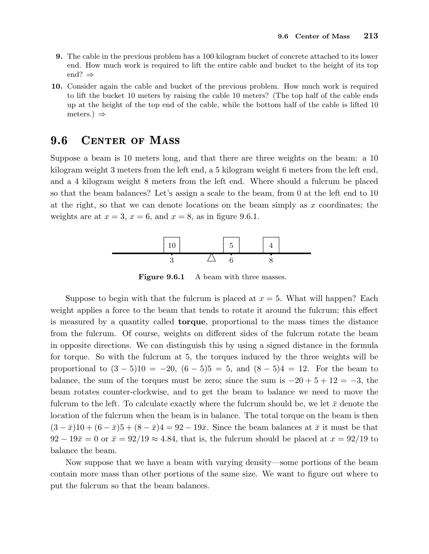- 9. The cable in the previous problem has a 100 kilogram bucket of concrete attached to its lower end. How much work is required to lift the entire cable and bucket to the height of its top end? ⇒
- 10. Consider again the cable and bucket of the previous problem. How much work is required to lift the bucket 10 meters by raising the cable 10 meters? (The top half of the cable ends up at the height of the top end of the cable, while the bottom half of the cable is lifted 10 meters.)  $\Rightarrow$

## 9.6 CENTER OF MASS

Suppose a beam is 10 meters long, and that there are three weights on the beam: a 10 kilogram weight 3 meters from the left end, a 5 kilogram weight 6 meters from the left end, and a 4 kilogram weight 8 meters from the left end. Where should a fulcrum be placed so that the beam balances? Let's assign a scale to the beam, from 0 at the left end to 10 at the right, so that we can denote locations on the beam simply as  $x$  coordinates; the weights are at  $x = 3$ ,  $x = 6$ , and  $x = 8$ , as in figure 9.6.1.



Figure 9.6.1 A beam with three masses.

Suppose to begin with that the fulcrum is placed at  $x = 5$ . What will happen? Each weight applies a force to the beam that tends to rotate it around the fulcrum; this effect is measured by a quantity called torque, proportional to the mass times the distance from the fulcrum. Of course, weights on different sides of the fulcrum rotate the beam in opposite directions. We can distinguish this by using a signed distance in the formula for torque. So with the fulcrum at 5, the torques induced by the three weights will be proportional to  $(3-5)10 = -20$ ,  $(6-5)5 = 5$ , and  $(8-5)4 = 12$ . For the beam to balance, the sum of the torques must be zero; since the sum is  $-20 + 5 + 12 = -3$ , the beam rotates counter-clockwise, and to get the beam to balance we need to move the fulcrum to the left. To calculate exactly where the fulcrum should be, we let  $\bar{x}$  denote the location of the fulcrum when the beam is in balance. The total torque on the beam is then  $(3 - \bar{x})10 + (6 - \bar{x})5 + (8 - \bar{x})4 = 92 - 19\bar{x}$ . Since the beam balances at  $\bar{x}$  it must be that  $92 - 19\bar{x} = 0$  or  $\bar{x} = 92/19 \approx 4.84$ , that is, the fulcrum should be placed at  $x = 92/19$  to balance the beam.

Now suppose that we have a beam with varying density—some portions of the beam contain more mass than other portions of the same size. We want to figure out where to put the fulcrum so that the beam balances.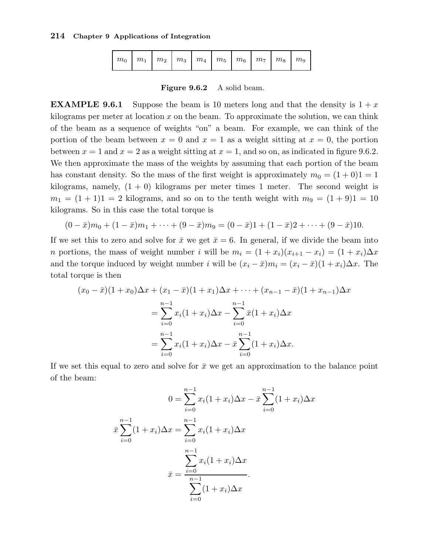| $\mid m_0 \mid m_1 \mid m_2 \mid m_3 \mid m_4 \mid m_5 \mid m_6 \mid m_7 \mid m_8 \mid m_9$ |  |  |  |  |  |  |  |  |  |
|---------------------------------------------------------------------------------------------|--|--|--|--|--|--|--|--|--|
|---------------------------------------------------------------------------------------------|--|--|--|--|--|--|--|--|--|

Figure 9.6.2 A solid beam.

**EXAMPLE 9.6.1** Suppose the beam is 10 meters long and that the density is  $1 + x$ kilograms per meter at location  $x$  on the beam. To approximate the solution, we can think of the beam as a sequence of weights "on" a beam. For example, we can think of the portion of the beam between  $x = 0$  and  $x = 1$  as a weight sitting at  $x = 0$ , the portion between  $x = 1$  and  $x = 2$  as a weight sitting at  $x = 1$ , and so on, as indicated in figure 9.6.2. We then approximate the mass of the weights by assuming that each portion of the beam has constant density. So the mass of the first weight is approximately  $m_0 = (1 + 0)1 = 1$ kilograms, namely,  $(1 + 0)$  kilograms per meter times 1 meter. The second weight is  $m_1 = (1 + 1)1 = 2$  kilograms, and so on to the tenth weight with  $m_9 = (1 + 9)1 = 10$ kilograms. So in this case the total torque is

$$
(0 - \bar{x})m_0 + (1 - \bar{x})m_1 + \dots + (9 - \bar{x})m_9 = (0 - \bar{x})1 + (1 - \bar{x})2 + \dots + (9 - \bar{x})10.
$$

If we set this to zero and solve for  $\bar{x}$  we get  $\bar{x} = 6$ . In general, if we divide the beam into n portions, the mass of weight number i will be  $m_i = (1 + x_i)(x_{i+1} - x_i) = (1 + x_i)\Delta x$ and the torque induced by weight number i will be  $(x_i - \bar{x})m_i = (x_i - \bar{x})(1 + x_i)\Delta x$ . The total torque is then

$$
(x_0 - \bar{x})(1 + x_0)\Delta x + (x_1 - \bar{x})(1 + x_1)\Delta x + \cdots + (x_{n-1} - \bar{x})(1 + x_{n-1})\Delta x
$$
  
= 
$$
\sum_{i=0}^{n-1} x_i(1 + x_i)\Delta x - \sum_{i=0}^{n-1} \bar{x}(1 + x_i)\Delta x
$$
  
= 
$$
\sum_{i=0}^{n-1} x_i(1 + x_i)\Delta x - \bar{x}\sum_{i=0}^{n-1} (1 + x_i)\Delta x.
$$

If we set this equal to zero and solve for  $\bar{x}$  we get an approximation to the balance point of the beam:

$$
0 = \sum_{i=0}^{n-1} x_i (1+x_i) \Delta x - \bar{x} \sum_{i=0}^{n-1} (1+x_i) \Delta x
$$

$$
\bar{x} \sum_{i=0}^{n-1} (1+x_i) \Delta x = \sum_{i=0}^{n-1} x_i (1+x_i) \Delta x
$$

$$
\bar{x} = \frac{\sum_{i=0}^{n-1} x_i (1+x_i) \Delta x}{\sum_{i=0}^{n-1} (1+x_i) \Delta x}.
$$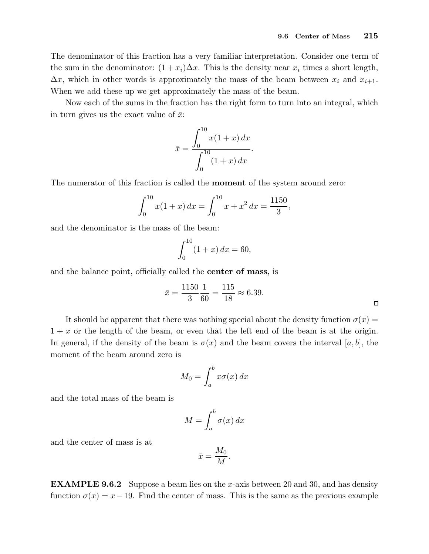The denominator of this fraction has a very familiar interpretation. Consider one term of the sum in the denominator:  $(1+x_i)\Delta x$ . This is the density near  $x_i$  times a short length,  $\Delta x$ , which in other words is approximately the mass of the beam between  $x_i$  and  $x_{i+1}$ . When we add these up we get approximately the mass of the beam.

Now each of the sums in the fraction has the right form to turn into an integral, which in turn gives us the exact value of  $\bar{x}$ :

$$
\bar{x} = \frac{\int_0^{10} x(1+x) \, dx}{\int_0^{10} (1+x) \, dx}.
$$

The numerator of this fraction is called the moment of the system around zero:

$$
\int_0^{10} x(1+x) \, dx = \int_0^{10} x + x^2 \, dx = \frac{1150}{3},
$$

and the denominator is the mass of the beam:

$$
\int_0^{10} (1+x) \, dx = 60,
$$

and the balance point, officially called the center of mass, is

$$
\bar{x} = \frac{1150}{3} \frac{1}{60} = \frac{115}{18} \approx 6.39.
$$

It should be apparent that there was nothing special about the density function  $\sigma(x)$  =  $1 + x$  or the length of the beam, or even that the left end of the beam is at the origin. In general, if the density of the beam is  $\sigma(x)$  and the beam covers the interval [a, b], the moment of the beam around zero is

$$
M_0 = \int_a^b x \sigma(x) \, dx
$$

and the total mass of the beam is

$$
M = \int_{a}^{b} \sigma(x) \, dx
$$

and the center of mass is at

$$
\bar{x} = \frac{M_0}{M}.
$$

**EXAMPLE 9.6.2** Suppose a beam lies on the x-axis between 20 and 30, and has density function  $\sigma(x) = x - 19$ . Find the center of mass. This is the same as the previous example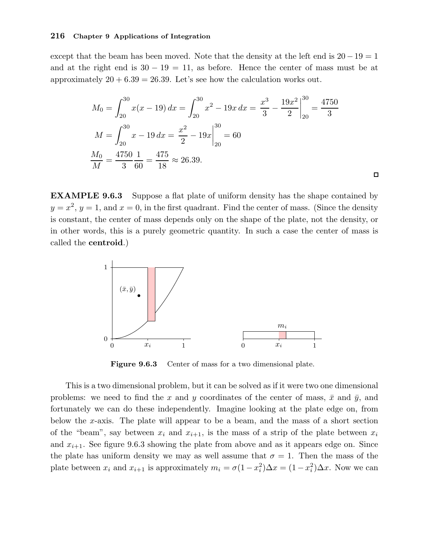except that the beam has been moved. Note that the density at the left end is  $20-19=1$ and at the right end is  $30 - 19 = 11$ , as before. Hence the center of mass must be at approximately  $20 + 6.39 = 26.39$ . Let's see how the calculation works out.

$$
M_0 = \int_{20}^{30} x(x - 19) dx = \int_{20}^{30} x^2 - 19x dx = \left. \frac{x^3}{3} - \frac{19x^2}{2} \right|_{20}^{30} = \frac{4750}{3}
$$

$$
M = \int_{20}^{30} x - 19 dx = \left. \frac{x^2}{2} - 19x \right|_{20}^{30} = 60
$$

$$
\frac{M_0}{M} = \frac{4750}{3} \frac{1}{60} = \frac{475}{18} \approx 26.39.
$$

EXAMPLE 9.6.3 Suppose a flat plate of uniform density has the shape contained by  $y = x^2$ ,  $y = 1$ , and  $x = 0$ , in the first quadrant. Find the center of mass. (Since the density is constant, the center of mass depends only on the shape of the plate, not the density, or in other words, this is a purely geometric quantity. In such a case the center of mass is called the centroid.)



Figure 9.6.3 Center of mass for a two dimensional plate.

This is a two dimensional problem, but it can be solved as if it were two one dimensional problems: we need to find the x and y coordinates of the center of mass,  $\bar{x}$  and  $\bar{y}$ , and fortunately we can do these independently. Imagine looking at the plate edge on, from below the x-axis. The plate will appear to be a beam, and the mass of a short section of the "beam", say between  $x_i$  and  $x_{i+1}$ , is the mass of a strip of the plate between  $x_i$ and  $x_{i+1}$ . See figure 9.6.3 showing the plate from above and as it appears edge on. Since the plate has uniform density we may as well assume that  $\sigma = 1$ . Then the mass of the plate between  $x_i$  and  $x_{i+1}$  is approximately  $m_i = \sigma(1 - x_i^2)\Delta x = (1 - x_i^2)\Delta x$ . Now we can

 $\Box$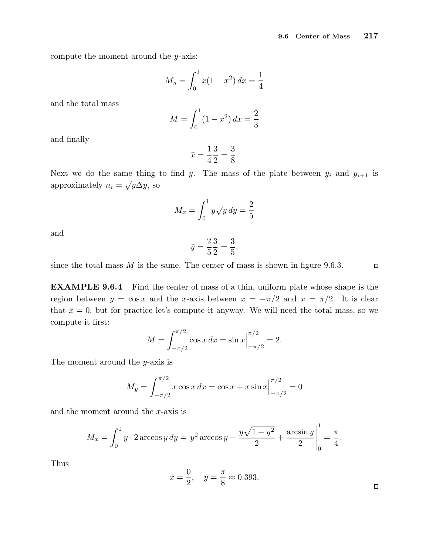compute the moment around the y-axis:

$$
M_y = \int_0^1 x(1 - x^2) \, dx = \frac{1}{4}
$$

and the total mass

$$
M = \int_0^1 (1 - x^2) \, dx = \frac{2}{3}
$$

and finally

$$
\bar{x} = \frac{1}{4} \frac{3}{2} = \frac{3}{8}.
$$

Next we do the same thing to find  $\bar{y}$ . The mass of the plate between  $y_i$  and  $y_{i+1}$  is approximately  $n_i = \sqrt{y} \Delta y$ , so

$$
M_x = \int_0^1 y\sqrt{y} \, dy = \frac{2}{5}
$$

and

$$
\bar{y} = \frac{2}{5} \frac{3}{2} = \frac{3}{5},
$$

since the total mass  $M$  is the same. The center of mass is shown in figure 9.6.3.

 $\Box$ 

EXAMPLE 9.6.4 Find the center of mass of a thin, uniform plate whose shape is the region between  $y = \cos x$  and the x-axis between  $x = -\pi/2$  and  $x = \pi/2$ . It is clear that  $\bar{x} = 0$ , but for practice let's compute it anyway. We will need the total mass, so we compute it first:

$$
M = \int_{-\pi/2}^{\pi/2} \cos x \, dx = \sin x \Big|_{-\pi/2}^{\pi/2} = 2.
$$

The moment around the  $y$ -axis is

$$
M_y = \int_{-\pi/2}^{\pi/2} x \cos x \, dx = \cos x + x \sin x \Big|_{-\pi/2}^{\pi/2} = 0
$$

and the moment around the  $x$ -axis is

$$
M_x = \int_0^1 y \cdot 2 \arccos y \, dy = y^2 \arccos y - \frac{y\sqrt{1-y^2}}{2} + \frac{\arcsin y}{2} \bigg|_0^1 = \frac{\pi}{4}.
$$

Thus

$$
\bar{x} = \frac{0}{2}, \quad \bar{y} = \frac{\pi}{8} \approx 0.393.
$$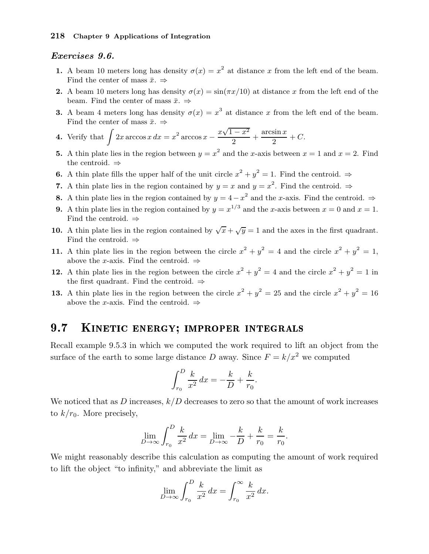#### Exercises 9.6.

- 1. A beam 10 meters long has density  $\sigma(x) = x^2$  at distance x from the left end of the beam. Find the center of mass  $\bar{x}$ .  $\Rightarrow$
- 2. A beam 10 meters long has density  $\sigma(x) = \sin(\pi x/10)$  at distance x from the left end of the beam. Find the center of mass  $\bar{x}$ .  $\Rightarrow$
- **3.** A beam 4 meters long has density  $\sigma(x) = x^3$  at distance x from the left end of the beam. Find the center of mass  $\bar{x}$ .  $\Rightarrow$
- **4.** Verify that  $\int 2x \arccos x \, dx = x^2 \arccos x \frac{x\sqrt{1-x^2}}{2}$  $\frac{x-x^2}{2} + \frac{\arcsin x}{2}$  $\frac{\sin x}{2} + C.$
- **5.** A thin plate lies in the region between  $y = x^2$  and the x-axis between  $x = 1$  and  $x = 2$ . Find the centroid. ⇒
- **6.** A thin plate fills the upper half of the unit circle  $x^2 + y^2 = 1$ . Find the centroid.  $\Rightarrow$
- 7. A thin plate lies in the region contained by  $y = x$  and  $y = x^2$ . Find the centroid.  $\Rightarrow$
- 8. A thin plate lies in the region contained by  $y = 4 x^2$  and the x-axis. Find the centroid. ⇒
- **9.** A thin plate lies in the region contained by  $y = x^{1/3}$  and the x-axis between  $x = 0$  and  $x = 1$ . Find the centroid.  $\Rightarrow$
- 10. A thin plate lies in the region contained by  $\sqrt{x} + \sqrt{y} = 1$  and the axes in the first quadrant. Find the centroid.  $\Rightarrow$
- 11. A thin plate lies in the region between the circle  $x^2 + y^2 = 4$  and the circle  $x^2 + y^2 = 1$ , above the x-axis. Find the centroid.  $\Rightarrow$
- 12. A thin plate lies in the region between the circle  $x^2 + y^2 = 4$  and the circle  $x^2 + y^2 = 1$  in the first quadrant. Find the centroid.  $\Rightarrow$
- 13. A thin plate lies in the region between the circle  $x^2 + y^2 = 25$  and the circle  $x^2 + y^2 = 16$ above the x-axis. Find the centroid.  $\Rightarrow$

#### KINETIC ENERGY; IMPROPER INTEGRALS  $9.7$

Recall example 9.5.3 in which we computed the work required to lift an object from the surface of the earth to some large distance D away. Since  $F = k/x^2$  we computed

$$
\int_{r_0}^{D} \frac{k}{x^2} \, dx = -\frac{k}{D} + \frac{k}{r_0}.
$$

We noticed that as D increases,  $k/D$  decreases to zero so that the amount of work increases to  $k/r_0$ . More precisely,

$$
\lim_{D \to \infty} \int_{r_0}^{D} \frac{k}{x^2} \, dx = \lim_{D \to \infty} -\frac{k}{D} + \frac{k}{r_0} = \frac{k}{r_0}.
$$

We might reasonably describe this calculation as computing the amount of work required to lift the object "to infinity," and abbreviate the limit as

$$
\lim_{D \to \infty} \int_{r_0}^D \frac{k}{x^2} dx = \int_{r_0}^\infty \frac{k}{x^2} dx.
$$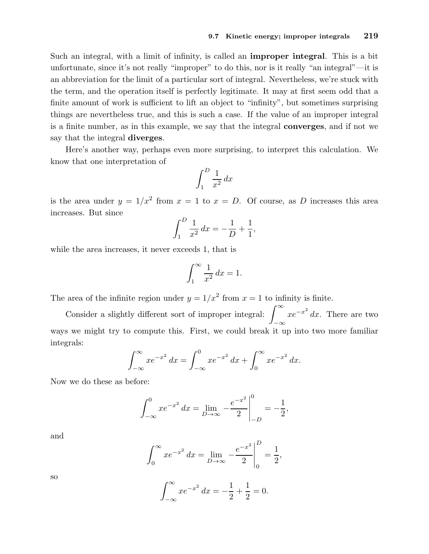Such an integral, with a limit of infinity, is called an improper integral. This is a bit unfortunate, since it's not really "improper" to do this, nor is it really "an integral"—it is an abbreviation for the limit of a particular sort of integral. Nevertheless, we're stuck with the term, and the operation itself is perfectly legitimate. It may at first seem odd that a finite amount of work is sufficient to lift an object to "infinity", but sometimes surprising things are nevertheless true, and this is such a case. If the value of an improper integral is a finite number, as in this example, we say that the integral converges, and if not we say that the integral diverges.

Here's another way, perhaps even more surprising, to interpret this calculation. We know that one interpretation of

$$
\int_{1}^{D} \frac{1}{x^2} \, dx
$$

is the area under  $y = 1/x^2$  from  $x = 1$  to  $x = D$ . Of course, as D increases this area increases. But since

$$
\int_{1}^{D} \frac{1}{x^2} \, dx = -\frac{1}{D} + \frac{1}{1},
$$

while the area increases, it never exceeds 1, that is

$$
\int_{1}^{\infty} \frac{1}{x^2} \, dx = 1.
$$

The area of the infinite region under  $y = 1/x^2$  from  $x = 1$  to infinity is finite.

Consider a slightly different sort of improper integral:  $\int^{\infty}$ −∞  $xe^{-x^2} dx$ . There are two ways we might try to compute this. First, we could break it up into two more familiar integrals:

$$
\int_{-\infty}^{\infty} x e^{-x^2} dx = \int_{-\infty}^{0} x e^{-x^2} dx + \int_{0}^{\infty} x e^{-x^2} dx.
$$

Now we do these as before:

$$
\int_{-\infty}^{0} xe^{-x^2} dx = \lim_{D \to \infty} \left. -\frac{e^{-x^2}}{2} \right|_{-D}^{0} = -\frac{1}{2},
$$

and

$$
\int_0^\infty x e^{-x^2} \, dx = \lim_{D \to \infty} \left. -\frac{e^{-x^2}}{2} \right|_0^D = \frac{1}{2},
$$

so

$$
\int_{-\infty}^{\infty} xe^{-x^2} dx = -\frac{1}{2} + \frac{1}{2} = 0.
$$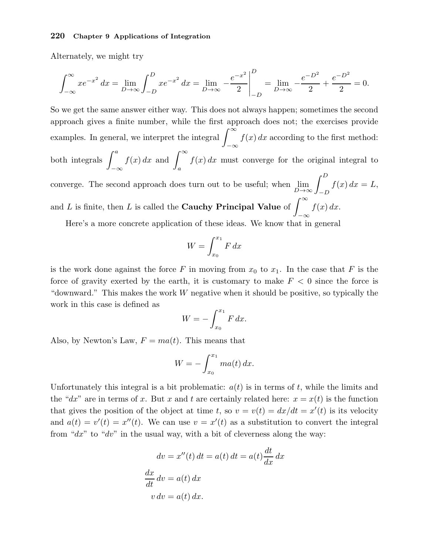Alternately, we might try

$$
\int_{-\infty}^{\infty} xe^{-x^2} dx = \lim_{D \to \infty} \int_{-D}^{D} xe^{-x^2} dx = \lim_{D \to \infty} \left. -\frac{e^{-x^2}}{2} \right|_{-D}^{D} = \lim_{D \to \infty} \left. -\frac{e^{-D^2}}{2} + \frac{e^{-D^2}}{2} \right| = 0.
$$

So we get the same answer either way. This does not always happen; sometimes the second approach gives a finite number, while the first approach does not; the exercises provide examples. In general, we interpret the integral  $\int_{-\infty}^{\infty}$ −∞  $f(x) dx$  according to the first method: both integrals  $\int^a$ −∞  $f(x) dx$  and  $\int_{-\infty}^{\infty}$ a  $f(x) dx$  must converge for the original integral to converge. The second approach does turn out to be useful; when  $\lim_{D\to\infty}\int_{-D}^D$  $f(x) dx = L$ , and L is finite, then L is called the Cauchy Principal Value of  $\int^{\infty}$ −∞  $f(x) dx$ .

Here's a more concrete application of these ideas. We know that in general

$$
W = \int_{x_0}^{x_1} F \, dx
$$

is the work done against the force F in moving from  $x_0$  to  $x_1$ . In the case that F is the force of gravity exerted by the earth, it is customary to make  $F < 0$  since the force is "downward." This makes the work W negative when it should be positive, so typically the work in this case is defined as

$$
W = -\int_{x_0}^{x_1} F dx.
$$

Also, by Newton's Law,  $F = ma(t)$ . This means that

$$
W = -\int_{x_0}^{x_1} ma(t) \, dx.
$$

Unfortunately this integral is a bit problematic:  $a(t)$  is in terms of t, while the limits and the "dx" are in terms of x. But x and t are certainly related here:  $x = x(t)$  is the function that gives the position of the object at time t, so  $v = v(t) = dx/dt = x'(t)$  is its velocity and  $a(t) = v'(t) = x''(t)$ . We can use  $v = x'(t)$  as a substitution to convert the integral from " $dx$ " to " $dv$ " in the usual way, with a bit of cleverness along the way:

$$
dv = x''(t) dt = a(t) dt = a(t) \frac{dt}{dx} dx
$$

$$
\frac{dx}{dt} dv = a(t) dx
$$

$$
v dv = a(t) dx.
$$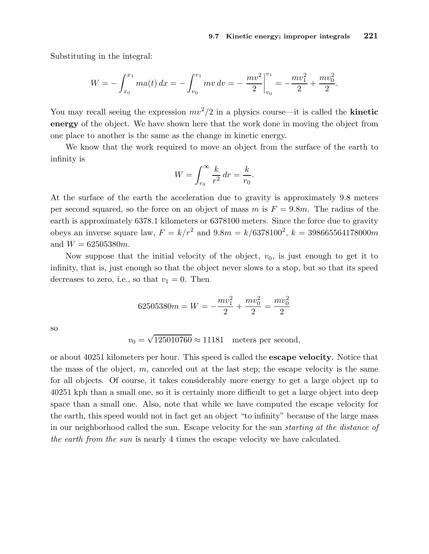Substituting in the integral:

$$
W = -\int_{x_0}^{x_1} ma(t) \, dx = -\int_{v_0}^{v_1} mv \, dv = -\left. \frac{mv^2}{2} \right|_{v_0}^{v_1} = -\frac{mv_1^2}{2} + \frac{mv_0^2}{2}.
$$

You may recall seeing the expression  $mv^2/2$  in a physics course—it is called the **kinetic** energy of the object. We have shown here that the work done in moving the object from one place to another is the same as the change in kinetic energy.

We know that the work required to move an object from the surface of the earth to infinity is

$$
W = \int_{r_0}^{\infty} \frac{k}{r^2} dr = \frac{k}{r_0}.
$$

At the surface of the earth the acceleration due to gravity is approximately 9.8 meters per second squared, so the force on an object of mass m is  $F = 9.8m$ . The radius of the earth is approximately 6378.1 kilometers or 6378100 meters. Since the force due to gravity obeys an inverse square law,  $F = k/r^2$  and  $9.8m = k/6378100^2$ ,  $k = 398665564178000m$ and  $W = 62505380m$ .

Now suppose that the initial velocity of the object,  $v_0$ , is just enough to get it to infinity, that is, just enough so that the object never slows to a stop, but so that its speed decreases to zero, i.e., so that  $v_1 = 0$ . Then

$$
62505380m = W = -\frac{mv_1^2}{2} + \frac{mv_0^2}{2} = \frac{mv_0^2}{2}
$$

so

$$
v_0 = \sqrt{125010760} \approx 11181
$$
 meters per second,

or about 40251 kilometers per hour. This speed is called the escape velocity. Notice that the mass of the object,  $m$ , canceled out at the last step; the escape velocity is the same for all objects. Of course, it takes considerably more energy to get a large object up to 40251 kph than a small one, so it is certainly more difficult to get a large object into deep space than a small one. Also, note that while we have computed the escape velocity for the earth, this speed would not in fact get an object "to infinity" because of the large mass in our neighborhood called the sun. Escape velocity for the sun starting at the distance of the earth from the sun is nearly 4 times the escape velocity we have calculated.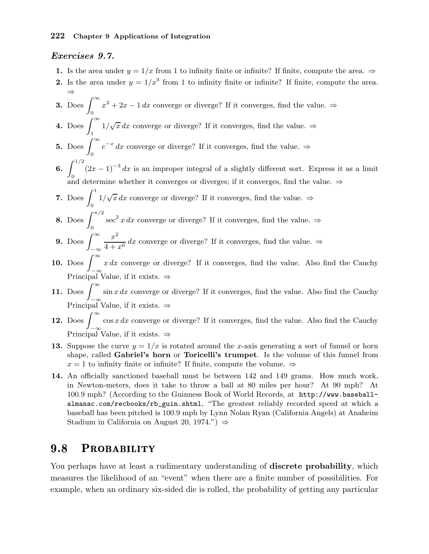#### Exercises 9.7.

- 1. Is the area under  $y = 1/x$  from 1 to infinity finite or infinite? If finite, compute the area.  $\Rightarrow$
- 2. Is the area under  $y = 1/x^3$  from 1 to infinity finite or infinite? If finite, compute the area. ⇒
- 3. Does  $\int^{\infty}$ 0  $x^2 + 2x - 1 dx$  converge or diverge? If it converges, find the value.  $\Rightarrow$
- 4. Does  $\int_{0}^{\infty}$ 1  $1/\sqrt{x} dx$  converge or diverge? If it converges, find the value.  $\Rightarrow$
- 5. Does  $\int_{0}^{\infty}$ 0  $e^{-x}$  dx converge or diverge? If it converges, find the value.  $\Rightarrow$
- 6.  $\int_{0}^{1/2} (2x-1)^{-3} dx$  is an improper integral of a slightly different sort. Express it as a limit  $J_0$  and determine whether it converges or diverges; if it converges, find the value. ⇒
- 7. Does  $\int_1^1$ 0  $1/\sqrt{x} dx$  converge or diverge? If it converges, find the value.  $\Rightarrow$
- 8. Does  $\int^{\pi/2}$ 0 sec<sup>2</sup> x dx converge or diverge? If it converges, find the value.  $\Rightarrow$
- **9.** Does  $\int_{-\infty}^{\infty}$  $x^2$  $\frac{1}{4+x^6}$  dx converge or diverge? If it converges, find the value.  $\Rightarrow$
- 10. Does  $\int_{-\infty}^{\infty} x dx$  converge or diverge? If it converges, find the value. Also find the Cauchy Principal Value, if it exists. ⇒
- 11. Does  $\int_{-\infty}^{\infty} \sin x \, dx$  converge or diverge? If it converges, find the value. Also find the Cauchy Principal Value, if it exists.  $\Rightarrow$
- 12. Does  $\int_{-\infty}^{\infty} \cos x \, dx$  converge or diverge? If it converges, find the value. Also find the Cauchy Principal Value, if it exists.  $\Rightarrow$
- 13. Suppose the curve  $y = 1/x$  is rotated around the x-axis generating a sort of funnel or horn shape, called Gabriel's horn or Toricelli's trumpet. Is the volume of this funnel from  $x = 1$  to infinity finite or infinite? If finite, compute the volume.  $\Rightarrow$
- 14. An officially sanctioned baseball must be between 142 and 149 grams. How much work, in Newton-meters, does it take to throw a ball at 80 miles per hour? At 90 mph? At 100.9 mph? (According to the Guinness Book of World Records, at http://www.baseballalmanac.com/recbooks/rb\_guin.shtml, "The greatest reliably recorded speed at which a baseball has been pitched is 100.9 mph by Lynn Nolan Ryan (California Angels) at Anaheim Stadium in California on August 20, 1974.")  $\Rightarrow$

## 9.8 PROBABILITY

You perhaps have at least a rudimentary understanding of **discrete probability**, which measures the likelihood of an "event" when there are a finite number of possibilities. For example, when an ordinary six-sided die is rolled, the probability of getting any particular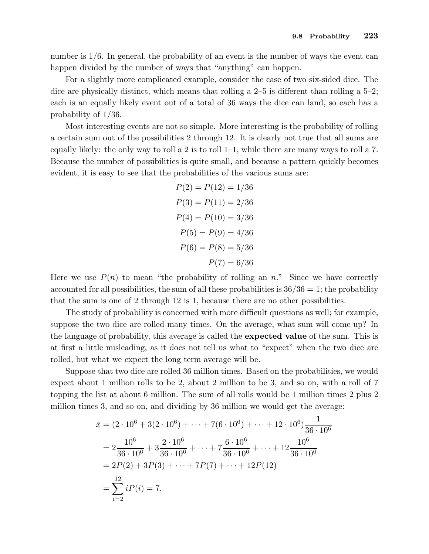number is  $1/6$ . In general, the probability of an event is the number of ways the event can happen divided by the number of ways that "anything" can happen.

For a slightly more complicated example, consider the case of two six-sided dice. The dice are physically distinct, which means that rolling a 2–5 is different than rolling a 5–2; each is an equally likely event out of a total of 36 ways the dice can land, so each has a probability of 1/36.

Most interesting events are not so simple. More interesting is the probability of rolling a certain sum out of the possibilities 2 through 12. It is clearly not true that all sums are equally likely: the only way to roll a 2 is to roll 1–1, while there are many ways to roll a 7. Because the number of possibilities is quite small, and because a pattern quickly becomes evident, it is easy to see that the probabilities of the various sums are:

$$
P(2) = P(12) = 1/36
$$
  
\n
$$
P(3) = P(11) = 2/36
$$
  
\n
$$
P(4) = P(10) = 3/36
$$
  
\n
$$
P(5) = P(9) = 4/36
$$
  
\n
$$
P(6) = P(8) = 5/36
$$
  
\n
$$
P(7) = 6/36
$$

Here we use  $P(n)$  to mean "the probability of rolling an n." Since we have correctly accounted for all possibilities, the sum of all these probabilities is  $36/36 = 1$ ; the probability that the sum is one of 2 through 12 is 1, because there are no other possibilities.

The study of probability is concerned with more difficult questions as well; for example, suppose the two dice are rolled many times. On the average, what sum will come up? In the language of probability, this average is called the expected value of the sum. This is at first a little misleading, as it does not tell us what to "expect" when the two dice are rolled, but what we expect the long term average will be.

Suppose that two dice are rolled 36 million times. Based on the probabilities, we would expect about 1 million rolls to be 2, about 2 million to be 3, and so on, with a roll of 7 topping the list at about 6 million. The sum of all rolls would be 1 million times 2 plus 2 million times 3, and so on, and dividing by 36 million we would get the average:

$$
\bar{x} = (2 \cdot 10^6 + 3(2 \cdot 10^6) + \dots + 7(6 \cdot 10^6) + \dots + 12 \cdot 10^6) \frac{1}{36 \cdot 10^6}
$$
  
=  $2 \frac{10^6}{36 \cdot 10^6} + 3 \frac{2 \cdot 10^6}{36 \cdot 10^6} + \dots + 7 \frac{6 \cdot 10^6}{36 \cdot 10^6} + \dots + 12 \frac{10^6}{36 \cdot 10^6}$   
=  $2P(2) + 3P(3) + \dots + 7P(7) + \dots + 12P(12)$   
=  $\sum_{i=2}^{12} iP(i) = 7.$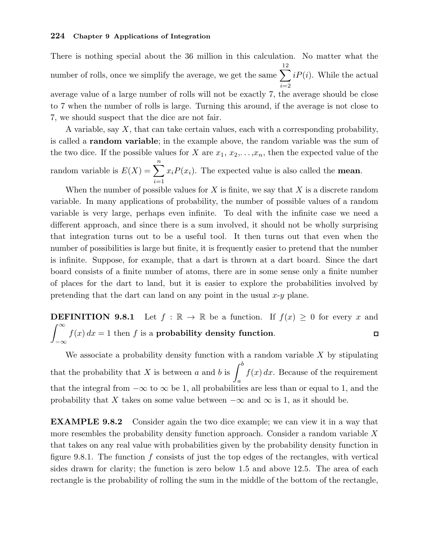There is nothing special about the 36 million in this calculation. No matter what the number of rolls, once we simplify the average, we get the same  $\sum$ 12  $i=2$  $iP(i)$ . While the actual average value of a large number of rolls will not be exactly 7, the average should be close to 7 when the number of rolls is large. Turning this around, if the average is not close to 7, we should suspect that the dice are not fair.

A variable, say  $X$ , that can take certain values, each with a corresponding probability, is called a random variable; in the example above, the random variable was the sum of the two dice. If the possible values for X are  $x_1, x_2, \ldots, x_n$ , then the expected value of the random variable is  $E(X) = \sum_{n=1}^{\infty}$  $i=1$  $x_iP(x_i)$ . The expected value is also called the **mean**.

When the number of possible values for  $X$  is finite, we say that  $X$  is a discrete random variable. In many applications of probability, the number of possible values of a random variable is very large, perhaps even infinite. To deal with the infinite case we need a different approach, and since there is a sum involved, it should not be wholly surprising that integration turns out to be a useful tool. It then turns out that even when the number of possibilities is large but finite, it is frequently easier to pretend that the number is infinite. Suppose, for example, that a dart is thrown at a dart board. Since the dart board consists of a finite number of atoms, there are in some sense only a finite number of places for the dart to land, but it is easier to explore the probabilities involved by pretending that the dart can land on any point in the usual  $x-y$  plane.

**DEFINITION 9.8.1** Let  $f : \mathbb{R} \to \mathbb{R}$  be a function. If  $f(x) \geq 0$  for every x and  $\int^{\infty}$  $f(x) dx = 1$  then f is a probability density function.  $\Box$ −∞

We associate a probability density function with a random variable  $X$  by stipulating that the probability that X is between a and b is  $\int^b$ a  $f(x) dx$ . Because of the requirement that the integral from  $-\infty$  to  $\infty$  be 1, all probabilities are less than or equal to 1, and the probability that X takes on some value between  $-\infty$  and  $\infty$  is 1, as it should be.

EXAMPLE 9.8.2 Consider again the two dice example; we can view it in a way that more resembles the probability density function approach. Consider a random variable  $X$ that takes on any real value with probabilities given by the probability density function in figure 9.8.1. The function  $f$  consists of just the top edges of the rectangles, with vertical sides drawn for clarity; the function is zero below 1.5 and above 12.5. The area of each rectangle is the probability of rolling the sum in the middle of the bottom of the rectangle,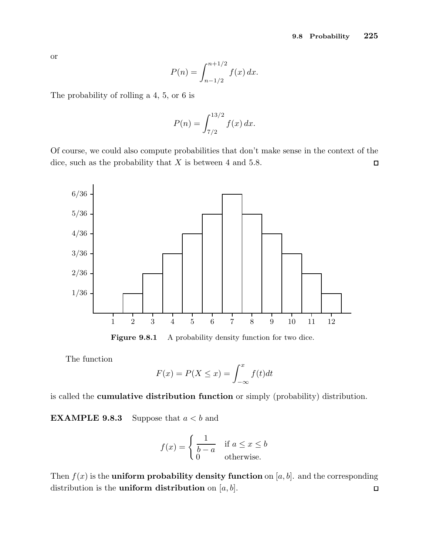or

$$
P(n) = \int_{n-1/2}^{n+1/2} f(x) \, dx.
$$

The probability of rolling a 4, 5, or 6 is

$$
P(n) = \int_{7/2}^{13/2} f(x) \, dx.
$$

Of course, we could also compute probabilities that don't make sense in the context of the dice, such as the probability that  $X$  is between 4 and 5.8.  $\Box$ 



Figure 9.8.1 A probability density function for two dice.

The function

$$
F(x) = P(X \le x) = \int_{-\infty}^{x} f(t)dt
$$

is called the cumulative distribution function or simply (probability) distribution.

**EXAMPLE 9.8.3** Suppose that  $a < b$  and

$$
f(x) = \begin{cases} \frac{1}{b-a} & \text{if } a \le x \le b \\ 0 & \text{otherwise.} \end{cases}
$$

Then  $f(x)$  is the **uniform probability density function** on [a, b]. and the corresponding distribution is the **uniform distribution** on  $[a, b]$ .  $\Box$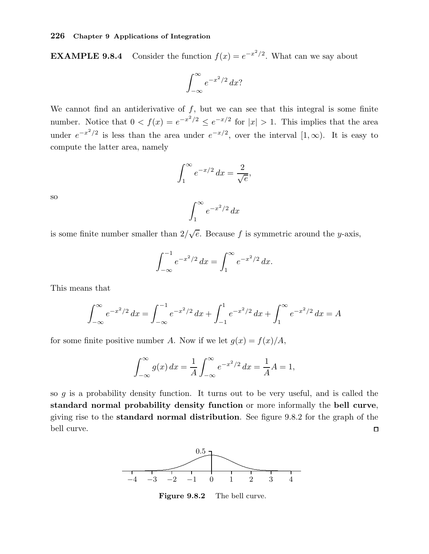**EXAMPLE 9.8.4** Consider the function  $f(x) = e^{-x^2/2}$ . What can we say about

$$
\int_{-\infty}^{\infty} e^{-x^2/2} \, dx?
$$

We cannot find an antiderivative of  $f$ , but we can see that this integral is some finite number. Notice that  $0 < f(x) = e^{-x^2/2} \le e^{-x/2}$  for  $|x| > 1$ . This implies that the area under  $e^{-x^2/2}$  is less than the area under  $e^{-x/2}$ , over the interval  $[1,\infty)$ . It is easy to compute the latter area, namely

$$
\int_{1}^{\infty} e^{-x/2} dx = \frac{2}{\sqrt{e}},
$$

$$
\int_{1}^{\infty} e^{-x^2/2} dx
$$

so

is some finite number smaller than  $2/\sqrt{e}$ . Because f is symmetric around the y-axis,

1

$$
\int_{-\infty}^{-1} e^{-x^2/2} \, dx = \int_{1}^{\infty} e^{-x^2/2} \, dx.
$$

This means that

$$
\int_{-\infty}^{\infty} e^{-x^2/2} dx = \int_{-\infty}^{-1} e^{-x^2/2} dx + \int_{-1}^{1} e^{-x^2/2} dx + \int_{1}^{\infty} e^{-x^2/2} dx = A
$$

for some finite positive number A. Now if we let  $q(x) = f(x)/A$ ,

$$
\int_{-\infty}^{\infty} g(x) dx = \frac{1}{A} \int_{-\infty}^{\infty} e^{-x^2/2} dx = \frac{1}{A} A = 1,
$$

so  $g$  is a probability density function. It turns out to be very useful, and is called the standard normal probability density function or more informally the bell curve, giving rise to the standard normal distribution. See figure 9.8.2 for the graph of the bell curve.  $\Box$ 



Figure 9.8.2 The bell curve.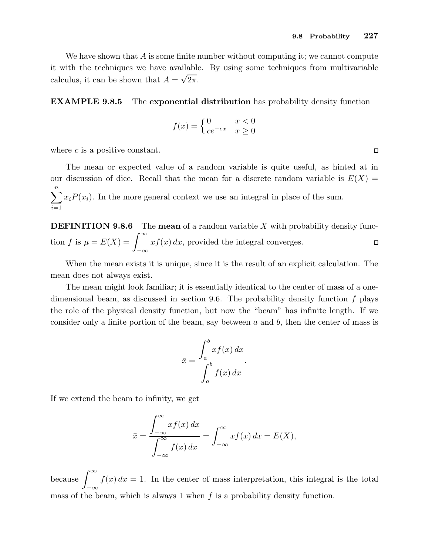We have shown that  $A$  is some finite number without computing it; we cannot compute it with the techniques we have available. By using some techniques from multivariable calculus, it can be shown that  $A = \sqrt{2\pi}$ .

EXAMPLE 9.8.5 The exponential distribution has probability density function

$$
f(x) = \begin{cases} 0 & x < 0\\ ce^{-cx} & x \ge 0 \end{cases}
$$

where  $c$  is a positive constant.

The mean or expected value of a random variable is quite useful, as hinted at in our discussion of dice. Recall that the mean for a discrete random variable is  $E(X) =$  $\sum_{n=1}^{\infty}$  $i=1$  $x_iP(x_i)$ . In the more general context we use an integral in place of the sum.

**DEFINITION 9.8.6** The **mean** of a random variable X with probability density function f is  $\mu = E(X) = \int_{-\infty}^{\infty}$  $xf(x) dx$ , provided the integral converges.  $\Box$ −∞

When the mean exists it is unique, since it is the result of an explicit calculation. The mean does not always exist.

The mean might look familiar; it is essentially identical to the center of mass of a onedimensional beam, as discussed in section 9.6. The probability density function  $f$  plays the role of the physical density function, but now the "beam" has infinite length. If we consider only a finite portion of the beam, say between  $a$  and  $b$ , then the center of mass is

$$
\bar{x} = \frac{\int_a^b x f(x) \, dx}{\int_a^b f(x) \, dx}.
$$

If we extend the beam to infinity, we get

$$
\bar{x} = \frac{\int_{-\infty}^{\infty} x f(x) dx}{\int_{-\infty}^{\infty} f(x) dx} = \int_{-\infty}^{\infty} x f(x) dx = E(X),
$$

because  $\int^{\infty}$ −∞  $f(x) dx = 1$ . In the center of mass interpretation, this integral is the total mass of the beam, which is always 1 when  $f$  is a probability density function.

 $\Box$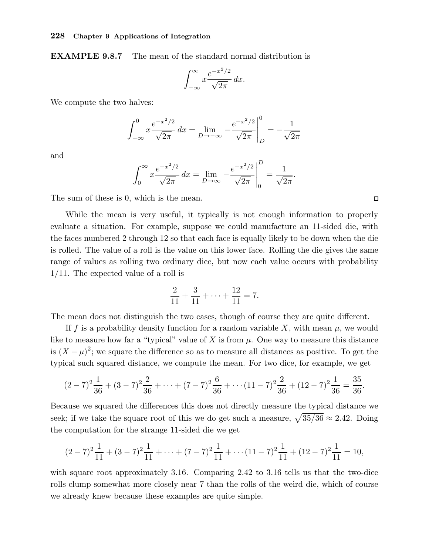EXAMPLE 9.8.7 The mean of the standard normal distribution is

$$
\int_{-\infty}^{\infty} x \frac{e^{-x^2/2}}{\sqrt{2\pi}} dx.
$$

We compute the two halves:

$$
\int_{-\infty}^{0} x \frac{e^{-x^2/2}}{\sqrt{2\pi}} dx = \lim_{D \to -\infty} -\frac{e^{-x^2/2}}{\sqrt{2\pi}} \bigg|_{D}^{0} = -\frac{1}{\sqrt{2\pi}}
$$

and

$$
\int_0^\infty x \frac{e^{-x^2/2}}{\sqrt{2\pi}} dx = \lim_{D \to \infty} -\frac{e^{-x^2/2}}{\sqrt{2\pi}} \bigg|_0^D = \frac{1}{\sqrt{2\pi}}
$$

.

The sum of these is 0, which is the mean.

While the mean is very useful, it typically is not enough information to properly evaluate a situation. For example, suppose we could manufacture an 11-sided die, with the faces numbered 2 through 12 so that each face is equally likely to be down when the die is rolled. The value of a roll is the value on this lower face. Rolling the die gives the same range of values as rolling two ordinary dice, but now each value occurs with probability 1/11. The expected value of a roll is

$$
\frac{2}{11} + \frac{3}{11} + \dots + \frac{12}{11} = 7.
$$

The mean does not distinguish the two cases, though of course they are quite different.

If f is a probability density function for a random variable X, with mean  $\mu$ , we would like to measure how far a "typical" value of X is from  $\mu$ . One way to measure this distance is  $(X - \mu)^2$ ; we square the difference so as to measure all distances as positive. To get the typical such squared distance, we compute the mean. For two dice, for example, we get

$$
(2-7)^2 \frac{1}{36} + (3-7)^2 \frac{2}{36} + \dots + (7-7)^2 \frac{6}{36} + \dots + (11-7)^2 \frac{2}{36} + (12-7)^2 \frac{1}{36} = \frac{35}{36}.
$$

Because we squared the differences this does not directly measure the typical distance we seek; if we take the square root of this we do get such a measure,  $\sqrt{35/36} \approx 2.42$ . Doing the computation for the strange 11-sided die we get

$$
(2-7)^2 \frac{1}{11} + (3-7)^2 \frac{1}{11} + \dots + (7-7)^2 \frac{1}{11} + \dots + (11-7)^2 \frac{1}{11} + (12-7)^2 \frac{1}{11} = 10,
$$

with square root approximately 3.16. Comparing 2.42 to 3.16 tells us that the two-dice rolls clump somewhat more closely near 7 than the rolls of the weird die, which of course we already knew because these examples are quite simple.

 $\Box$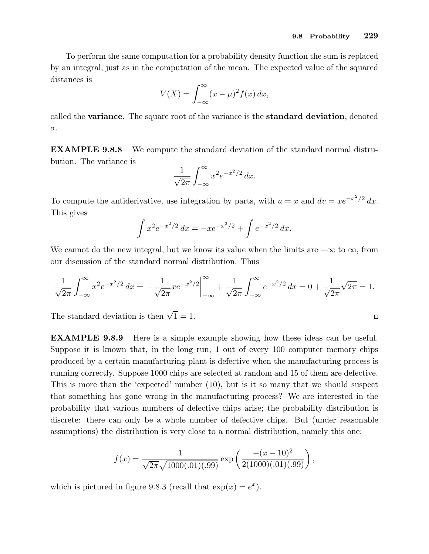$\Box$ 

To perform the same computation for a probability density function the sum is replaced by an integral, just as in the computation of the mean. The expected value of the squared distances is

$$
V(X) = \int_{-\infty}^{\infty} (x - \mu)^2 f(x) \, dx,
$$

called the variance. The square root of the variance is the standard deviation, denoted σ.

EXAMPLE 9.8.8 We compute the standard deviation of the standard normal distrubution. The variance is

$$
\frac{1}{\sqrt{2\pi}} \int_{-\infty}^{\infty} x^2 e^{-x^2/2} dx.
$$

To compute the antiderivative, use integration by parts, with  $u = x$  and  $dv = xe^{-x^2/2} dx$ . This gives

$$
\int x^2 e^{-x^2/2} dx = -xe^{-x^2/2} + \int e^{-x^2/2} dx.
$$

We cannot do the new integral, but we know its value when the limits are  $-\infty$  to  $\infty$ , from our discussion of the standard normal distribution. Thus

$$
\frac{1}{\sqrt{2\pi}} \int_{-\infty}^{\infty} x^2 e^{-x^2/2} dx = -\frac{1}{\sqrt{2\pi}} x e^{-x^2/2} \Big|_{-\infty}^{\infty} + \frac{1}{\sqrt{2\pi}} \int_{-\infty}^{\infty} e^{-x^2/2} dx = 0 + \frac{1}{\sqrt{2\pi}} \sqrt{2\pi} = 1.
$$

The standard deviation is then  $\sqrt{1} = 1$ .

EXAMPLE 9.8.9 Here is a simple example showing how these ideas can be useful. Suppose it is known that, in the long run, 1 out of every 100 computer memory chips produced by a certain manufacturing plant is defective when the manufacturing process is running correctly. Suppose 1000 chips are selected at random and 15 of them are defective. This is more than the 'expected' number (10), but is it so many that we should suspect that something has gone wrong in the manufacturing process? We are interested in the probability that various numbers of defective chips arise; the probability distribution is discrete: there can only be a whole number of defective chips. But (under reasonable assumptions) the distribution is very close to a normal distribution, namely this one:

$$
f(x) = \frac{1}{\sqrt{2\pi}\sqrt{1000(.01)(.99)}} \exp\left(\frac{-(x-10)^2}{2(1000)(.01)(.99)}\right),\,
$$

which is pictured in figure 9.8.3 (recall that  $\exp(x) = e^x$ ).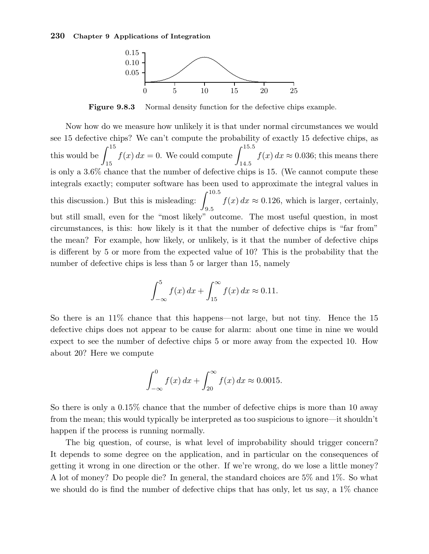

Figure 9.8.3 Normal density function for the defective chips example.

Now how do we measure how unlikely it is that under normal circumstances we would see 15 defective chips? We can't compute the probability of exactly 15 defective chips, as this would be  $\int^{15}$ 15  $f(x) dx = 0$ . We could compute  $\int^{15.5}$  $\int_{14.5} f(x) dx \approx 0.036$ ; this means there is only a 3.6% chance that the number of defective chips is 15. (We cannot compute these integrals exactly; computer software has been used to approximate the integral values in this discussion.) But this is misleading:  $\int^{10.5}$  $f(x) dx \approx 0.126$ , which is larger, certainly, but still small, even for the "most likely" outcome. The most useful question, in most circumstances, is this: how likely is it that the number of defective chips is "far from" the mean? For example, how likely, or unlikely, is it that the number of defective chips is different by 5 or more from the expected value of 10? This is the probability that the number of defective chips is less than 5 or larger than 15, namely

$$
\int_{-\infty}^{5} f(x) dx + \int_{15}^{\infty} f(x) dx \approx 0.11.
$$

So there is an 11% chance that this happens—not large, but not tiny. Hence the 15 defective chips does not appear to be cause for alarm: about one time in nine we would expect to see the number of defective chips 5 or more away from the expected 10. How about 20? Here we compute

$$
\int_{-\infty}^{0} f(x) \, dx + \int_{20}^{\infty} f(x) \, dx \approx 0.0015.
$$

So there is only a 0.15% chance that the number of defective chips is more than 10 away from the mean; this would typically be interpreted as too suspicious to ignore—it shouldn't happen if the process is running normally.

The big question, of course, is what level of improbability should trigger concern? It depends to some degree on the application, and in particular on the consequences of getting it wrong in one direction or the other. If we're wrong, do we lose a little money? A lot of money? Do people die? In general, the standard choices are 5% and 1%. So what we should do is find the number of defective chips that has only, let us say, a 1% chance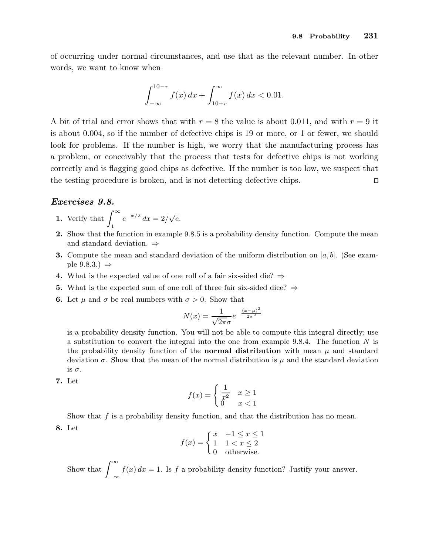of occurring under normal circumstances, and use that as the relevant number. In other words, we want to know when

$$
\int_{-\infty}^{10-r} f(x) \, dx + \int_{10+r}^{\infty} f(x) \, dx < 0.01.
$$

A bit of trial and error shows that with  $r = 8$  the value is about 0.011, and with  $r = 9$  it is about 0.004, so if the number of defective chips is 19 or more, or 1 or fewer, we should look for problems. If the number is high, we worry that the manufacturing process has a problem, or conceivably that the process that tests for defective chips is not working correctly and is flagging good chips as defective. If the number is too low, we suspect that the testing procedure is broken, and is not detecting defective chips.  $\Box$ 

#### Exercises 9.8.

- 1. Verify that  $\int_{0}^{\infty}$ 1  $e^{-x/2} dx = 2/\sqrt{e}.$
- 2. Show that the function in example 9.8.5 is a probability density function. Compute the mean and standard deviation. ⇒
- **3.** Compute the mean and standard deviation of the uniform distribution on  $[a, b]$ . (See example  $9.8.3.$ )  $\Rightarrow$
- 4. What is the expected value of one roll of a fair six-sided die?  $\Rightarrow$
- 5. What is the expected sum of one roll of three fair six-sided dice?  $\Rightarrow$
- **6.** Let  $\mu$  and  $\sigma$  be real numbers with  $\sigma > 0$ . Show that

$$
N(x) = \frac{1}{\sqrt{2\pi}\sigma} e^{-\frac{(x-\mu)^2}{2\sigma^2}}
$$

is a probability density function. You will not be able to compute this integral directly; use a substitution to convert the integral into the one from example 9.8.4. The function  $N$  is the probability density function of the **normal distribution** with mean  $\mu$  and standard deviation  $\sigma$ . Show that the mean of the normal distribution is  $\mu$  and the standard deviation is  $\sigma$ .

7. Let

$$
f(x) = \begin{cases} \frac{1}{x^2} & x \ge 1\\ 0 & x < 1 \end{cases}
$$

Show that f is a probability density function, and that the distribution has no mean.

8. Let

$$
f(x) = \begin{cases} x & -1 \le x \le 1 \\ 1 & 1 < x \le 2 \\ 0 & \text{otherwise.} \end{cases}
$$

Show that  $\int_{-\infty}^{\infty} f(x) dx = 1$ . Is f a probability density function? Justify your answer.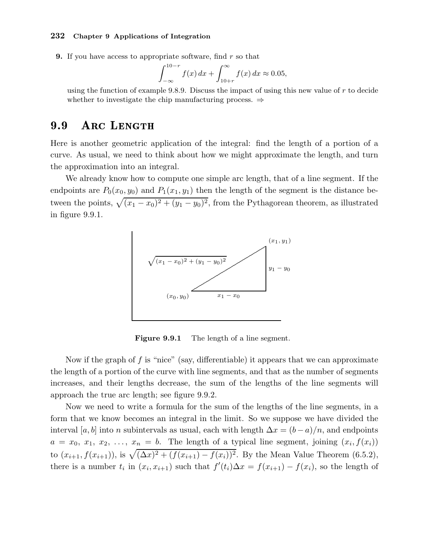**9.** If you have access to appropriate software, find  $r$  so that

$$
\int_{-\infty}^{10-r} f(x) \, dx + \int_{10+r}^{\infty} f(x) \, dx \approx 0.05,
$$

using the function of example 9.8.9. Discuss the impact of using this new value of  $r$  to decide whether to investigate the chip manufacturing process. ⇒

#### 9.9 ARC LENGTH

Here is another geometric application of the integral: find the length of a portion of a curve. As usual, we need to think about how we might approximate the length, and turn the approximation into an integral.

We already know how to compute one simple arc length, that of a line segment. If the endpoints are  $P_0(x_0, y_0)$  and  $P_1(x_1, y_1)$  then the length of the segment is the distance between the points,  $\sqrt{(x_1 - x_0)^2 + (y_1 - y_0)^2}$ , from the Pythagorean theorem, as illustrated in figure 9.9.1.



Figure 9.9.1 The length of a line segment.

Now if the graph of f is "nice" (say, differentiable) it appears that we can approximate the length of a portion of the curve with line segments, and that as the number of segments increases, and their lengths decrease, the sum of the lengths of the line segments will approach the true arc length; see figure 9.9.2.

Now we need to write a formula for the sum of the lengths of the line segments, in a form that we know becomes an integral in the limit. So we suppose we have divided the interval [a, b] into n subintervals as usual, each with length  $\Delta x = (b-a)/n$ , and endpoints  $a = x_0, x_1, x_2, \ldots, x_n = b$ . The length of a typical line segment, joining  $(x_i, f(x_i))$ to  $(x_{i+1}, f(x_{i+1}))$ , is  $\sqrt{(\Delta x)^2 + (f(x_{i+1}) - f(x_i))^2}$ . By the Mean Value Theorem (6.5.2), there is a number  $t_i$  in  $(x_i, x_{i+1})$  such that  $f'(t_i) \Delta x = f(x_{i+1}) - f(x_i)$ , so the length of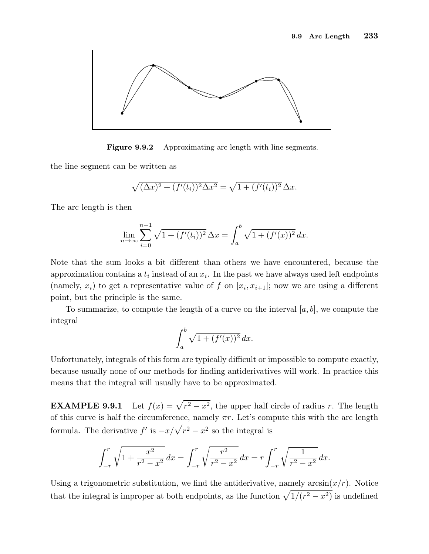

Figure 9.9.2 Approximating arc length with line segments.

the line segment can be written as

$$
\sqrt{(\Delta x)^{2} + (f'(t_{i}))^{2} \Delta x^{2}} = \sqrt{1 + (f'(t_{i}))^{2}} \Delta x.
$$

The arc length is then

$$
\lim_{n \to \infty} \sum_{i=0}^{n-1} \sqrt{1 + (f'(t_i))^2} \,\Delta x = \int_a^b \sqrt{1 + (f'(x))^2} \, dx.
$$

Note that the sum looks a bit different than others we have encountered, because the approximation contains a  $t_i$  instead of an  $x_i$ . In the past we have always used left endpoints (namely,  $x_i$ ) to get a representative value of f on  $[x_i, x_{i+1}]$ ; now we are using a different point, but the principle is the same.

To summarize, to compute the length of a curve on the interval  $[a, b]$ , we compute the integral

$$
\int_a^b \sqrt{1 + (f'(x))^2} \, dx.
$$

Unfortunately, integrals of this form are typically difficult or impossible to compute exactly, because usually none of our methods for finding antiderivatives will work. In practice this means that the integral will usually have to be approximated.

**EXAMPLE 9.9.1** Let  $f(x) = \sqrt{r^2 - x^2}$ , the upper half circle of radius r. The length of this curve is half the circumference, namely  $\pi r$ . Let's compute this with the arc length formula. The derivative  $f'$  is  $-x/\sqrt{r^2 - x^2}$  so the integral is

$$
\int_{-r}^{r} \sqrt{1 + \frac{x^2}{r^2 - x^2}} \, dx = \int_{-r}^{r} \sqrt{\frac{r^2}{r^2 - x^2}} \, dx = r \int_{-r}^{r} \sqrt{\frac{1}{r^2 - x^2}} \, dx.
$$

Using a trigonometric substitution, we find the antiderivative, namely  $arcsin(x/r)$ . Notice that the integral is improper at both endpoints, as the function  $\sqrt{1/(r^2 - x^2)}$  is undefined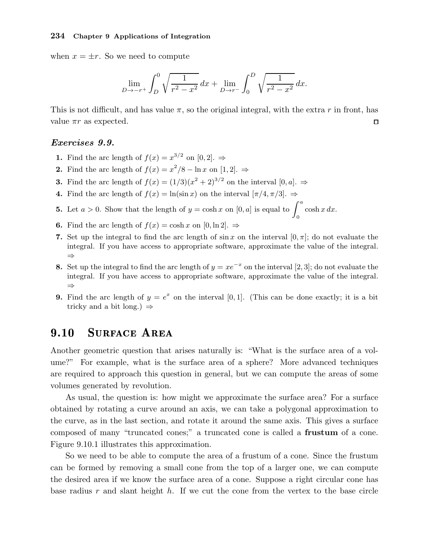when  $x = \pm r$ . So we need to compute

$$
\lim_{D \to -r^+} \int_D^0 \sqrt{\frac{1}{r^2 - x^2}} \, dx + \lim_{D \to r^-} \int_0^D \sqrt{\frac{1}{r^2 - x^2}} \, dx.
$$

This is not difficult, and has value  $\pi$ , so the original integral, with the extra r in front, has value  $\pi r$  as expected.  $\Box$ 

## Exercises 9.9.

- **1.** Find the arc length of  $f(x) = x^{3/2}$  on  $[0,2]$ .  $\Rightarrow$
- 2. Find the arc length of  $f(x) = x^2/8 \ln x$  on  $[1, 2]$ .  $\Rightarrow$
- **3.** Find the arc length of  $f(x) = (1/3)(x^2 + 2)^{3/2}$  on the interval  $[0, a]$ .  $\Rightarrow$
- 4. Find the arc length of  $f(x) = \ln(\sin x)$  on the interval  $[\pi/4, \pi/3]$ .  $\Rightarrow$
- **5.** Let  $a > 0$ . Show that the length of  $y = \cosh x$  on  $[0, a]$  is equal to  $\int_a^a$  $\cosh x \, dx.$
- 6. Find the arc length of  $f(x) = \cosh x$  on  $[0, \ln 2]$ .  $\Rightarrow$
- 7. Set up the integral to find the arc length of  $\sin x$  on the interval  $[0, \pi]$ ; do not evaluate the integral. If you have access to appropriate software, approximate the value of the integral. ⇒

0

- 8. Set up the integral to find the arc length of  $y = xe^{-x}$  on the interval [2, 3]; do not evaluate the integral. If you have access to appropriate software, approximate the value of the integral. ⇒
- **9.** Find the arc length of  $y = e^x$  on the interval [0, 1]. (This can be done exactly; it is a bit tricky and a bit long.)  $\Rightarrow$

#### 9.10 **SURFACE AREA**

Another geometric question that arises naturally is: "What is the surface area of a volume?" For example, what is the surface area of a sphere? More advanced techniques are required to approach this question in general, but we can compute the areas of some volumes generated by revolution.

As usual, the question is: how might we approximate the surface area? For a surface obtained by rotating a curve around an axis, we can take a polygonal approximation to the curve, as in the last section, and rotate it around the same axis. This gives a surface composed of many "truncated cones;" a truncated cone is called a frustum of a cone. Figure 9.10.1 illustrates this approximation.

So we need to be able to compute the area of a frustum of a cone. Since the frustum can be formed by removing a small cone from the top of a larger one, we can compute the desired area if we know the surface area of a cone. Suppose a right circular cone has base radius  $r$  and slant height  $h$ . If we cut the cone from the vertex to the base circle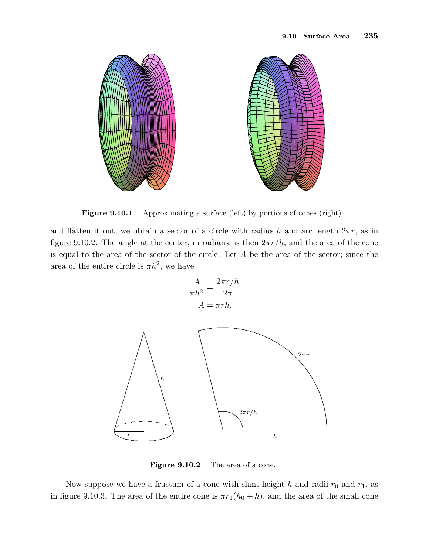

Figure 9.10.1 Approximating a surface (left) by portions of cones (right).

and flatten it out, we obtain a sector of a circle with radius h and arc length  $2\pi r$ , as in figure 9.10.2. The angle at the center, in radians, is then  $2\pi r/h$ , and the area of the cone is equal to the area of the sector of the circle. Let A be the area of the sector; since the area of the entire circle is  $\pi h^2$ , we have

$$
\frac{A}{\pi h^2} = \frac{2\pi r/h}{2\pi}
$$

$$
A = \pi rh.
$$



Figure 9.10.2 The area of a cone.

Now suppose we have a frustum of a cone with slant height h and radii  $r_0$  and  $r_1$ , as in figure 9.10.3. The area of the entire cone is  $\pi r_1(h_0 + h)$ , and the area of the small cone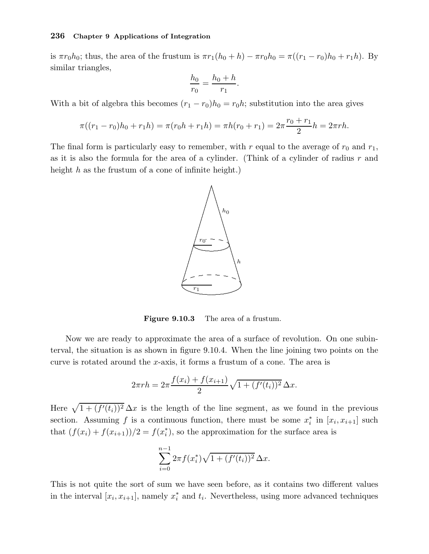is  $\pi r_0 h_0$ ; thus, the area of the frustum is  $\pi r_1(h_0 + h) - \pi r_0 h_0 = \pi((r_1 - r_0)h_0 + r_1h)$ . By similar triangles,

$$
\frac{h_0}{r_0} = \frac{h_0 + h}{r_1}.
$$

With a bit of algebra this becomes  $(r_1 - r_0)h_0 = r_0h$ ; substitution into the area gives

$$
\pi((r_1 - r_0)h_0 + r_1h) = \pi(r_0h + r_1h) = \pi h(r_0 + r_1) = 2\pi \frac{r_0 + r_1}{2}h = 2\pi rh.
$$

The final form is particularly easy to remember, with r equal to the average of  $r_0$  and  $r_1$ , as it is also the formula for the area of a cylinder. (Think of a cylinder of radius  $r$  and height  $h$  as the frustum of a cone of infinite height.)



Figure 9.10.3 The area of a frustum.

Now we are ready to approximate the area of a surface of revolution. On one subinterval, the situation is as shown in figure 9.10.4. When the line joining two points on the curve is rotated around the x-axis, it forms a frustum of a cone. The area is

$$
2\pi rh = 2\pi \frac{f(x_i) + f(x_{i+1})}{2} \sqrt{1 + (f'(t_i))^2} \,\Delta x.
$$

Here  $\sqrt{1 + (f'(t_i))^2} \Delta x$  is the length of the line segment, as we found in the previous section. Assuming f is a continuous function, there must be some  $x_i^*$  $i$ <sup>\*</sup> in  $[x_i, x_{i+1}]$  such that  $(f(x_i) + f(x_{i+1}))/2 = f(x_i^*)$  $\binom{1}{i}$ , so the approximation for the surface area is

$$
\sum_{i=0}^{n-1} 2\pi f(x_i^*) \sqrt{1 + (f'(t_i))^2} \,\Delta x.
$$

This is not quite the sort of sum we have seen before, as it contains two different values in the interval  $[x_i, x_{i+1}]$ , namely  $x_i^*$  $i$  and  $t_i$ . Nevertheless, using more advanced techniques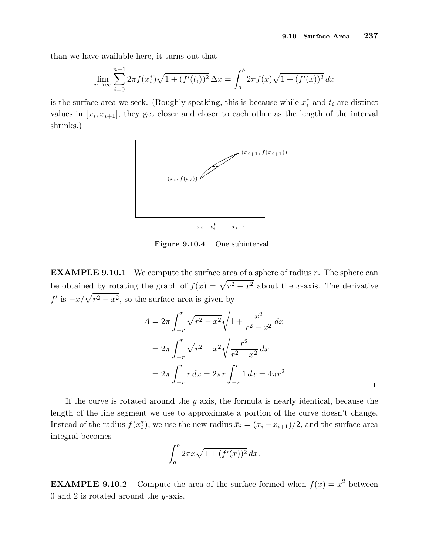$\Box$ 

than we have available here, it turns out that

$$
\lim_{n \to \infty} \sum_{i=0}^{n-1} 2\pi f(x_i^*) \sqrt{1 + (f'(t_i))^2} \,\Delta x = \int_a^b 2\pi f(x) \sqrt{1 + (f'(x))^2} \,dx
$$

is the surface area we seek. (Roughly speaking, this is because while  $x_i^*$  and  $t_i$  are distinct values in  $[x_i, x_{i+1}]$ , they get closer and closer to each other as the length of the interval shrinks.)



Figure 9.10.4 One subinterval.

**EXAMPLE 9.10.1** We compute the surface area of a sphere of radius  $r$ . The sphere can be obtained by rotating the graph of  $f(x) = \sqrt{r^2 - x^2}$  about the x-axis. The derivative  $f'$  is  $-x/\sqrt{r^2 - x^2}$ , so the surface area is given by

$$
A = 2\pi \int_{-r}^{r} \sqrt{r^2 - x^2} \sqrt{1 + \frac{x^2}{r^2 - x^2}} dx
$$
  
=  $2\pi \int_{-r}^{r} \sqrt{r^2 - x^2} \sqrt{\frac{r^2}{r^2 - x^2}} dx$   
=  $2\pi \int_{-r}^{r} r dx = 2\pi r \int_{-r}^{r} 1 dx = 4\pi r^2$ 

If the curve is rotated around the  $y$  axis, the formula is nearly identical, because the length of the line segment we use to approximate a portion of the curve doesn't change. Instead of the radius  $f(x_i^*)$  $\hat{x}_i$ , we use the new radius  $\bar{x}_i = (x_i + x_{i+1})/2$ , and the surface area integral becomes

$$
\int_a^b 2\pi x \sqrt{1 + (f'(x))^2} \, dx.
$$

**EXAMPLE 9.10.2** Compute the area of the surface formed when  $f(x) = x^2$  between 0 and 2 is rotated around the  $y$ -axis.